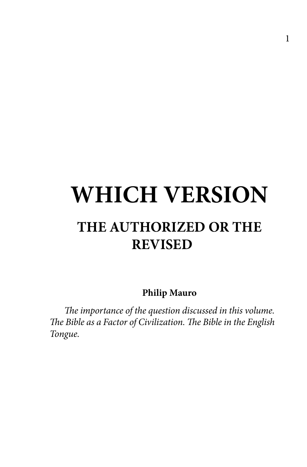# <span id="page-0-0"></span>**WHICH VERSION THE AUTHORIZED OR THE REVISED**

**Philip Mauro**

*The importance of the question discussed in this volume. The Bible as a Factor of Civilization. The Bible in the English Tongue.*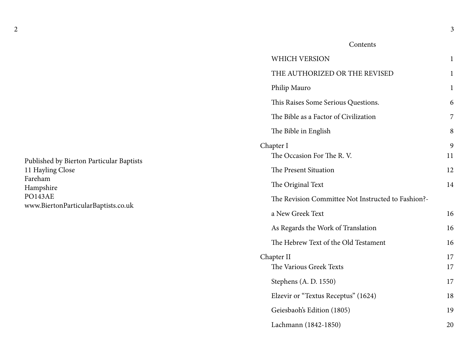| Published by Bierton Particular Baptists |
|------------------------------------------|
| 11 Hayling Close                         |
| Fareham                                  |
| Hampshire                                |
| PO143AE                                  |
| www.BiertonParticularBaptists.co.uk      |

# Contents

| WHICH VERSION                                      | $\mathbf{1}$ |
|----------------------------------------------------|--------------|
| THE AUTHORIZED OR THE REVISED                      | 1            |
| Philip Mauro                                       | $\mathbf{1}$ |
| This Raises Some Serious Questions.                | 6            |
| The Bible as a Factor of Civilization              | 7            |
| The Bible in English                               | 8            |
| Chapter I                                          | 9            |
| The Occasion For The R.V.                          | 11           |
| The Present Situation                              | 12           |
| The Original Text                                  | 14           |
| The Revision Committee Not Instructed to Fashion?- |              |
| a New Greek Text                                   | 16           |
| As Regards the Work of Translation                 | 16           |
| The Hebrew Text of the Old Testament               | 16           |
| Chapter II                                         | 17           |
| The Various Greek Texts                            | 17           |
| Stephens (A. D. 1550)                              | 17           |
| Elzevir or "Textus Receptus" (1624)                | 18           |
| Geiesbaoh's Edition (1805)                         | 19           |
| Lachmann (1842-1850)                               | 20           |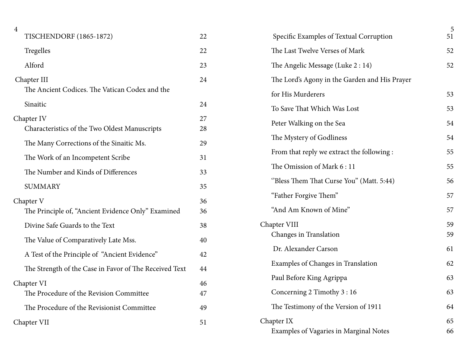| 4<br><b>TISCHENDORF (1865-1872)</b>                                                       | 22       | Specific Examples of Textual Corruption       | 5<br>51 |
|-------------------------------------------------------------------------------------------|----------|-----------------------------------------------|---------|
| Tregelles                                                                                 | 22       | The Last Twelve Verses of Mark                | 52      |
| Alford                                                                                    | 23       | The Angelic Message (Luke 2:14)               | 52      |
| Chapter III                                                                               | 24       | The Lord's Agony in the Garden and His Prayer |         |
| The Ancient Codices. The Vatican Codex and the                                            |          | for His Murderers                             | 53      |
| Sinaitic                                                                                  | 24       | To Save That Which Was Lost                   | 53      |
| Chapter IV                                                                                | 27       | Peter Walking on the Sea                      | 54      |
| Characteristics of the Two Oldest Manuscripts<br>The Many Corrections of the Sinaitic Ms. | 28<br>29 | The Mystery of Godliness                      | 54      |
| The Work of an Incompetent Scribe                                                         | 31       | From that reply we extract the following:     | 55      |
| The Number and Kinds of Differences                                                       | 33       | The Omission of Mark 6:11                     | 55      |
| <b>SUMMARY</b>                                                                            | 35       | "Bless Them That Curse You" (Matt. 5:44)      | 56      |
| Chapter V                                                                                 | 36       | "Father Forgive Them"                         | 57      |
| The Principle of, "Ancient Evidence Only" Examined                                        | 36       | "And Am Known of Mine"                        | 57      |
| Divine Safe Guards to the Text                                                            | 38       | Chapter VIII                                  | 59      |
| The Value of Comparatively Late Mss.                                                      | 40       | Changes in Translation                        | 59      |
| A Test of the Principle of "Ancient Evidence"                                             | 42       | Dr. Alexander Carson                          | 61      |
| The Strength of the Case in Favor of The Received Text                                    | 44       | Examples of Changes in Translation            | 62      |
| Chapter VI                                                                                | 46       | Paul Before King Agrippa                      | 63      |
| The Procedure of the Revision Committee                                                   | 47       | Concerning 2 Timothy 3:16                     | 63      |
| The Procedure of the Revisionist Committee                                                | 49       | The Testimony of the Version of 1911          | 64      |
| Chapter VII                                                                               | 51       | Chapter IX                                    | 65      |
|                                                                                           |          |                                               |         |

| Specific Examples of Textual Corruption       | ◡<br>51 |
|-----------------------------------------------|---------|
| The Last Twelve Verses of Mark                | 52      |
| The Angelic Message (Luke 2: 14)              | 52      |
| The Lord's Agony in the Garden and His Prayer |         |
| for His Murderers                             | 53      |
| To Save That Which Was Lost                   | 53      |
| Peter Walking on the Sea                      | 54      |
| The Mystery of Godliness                      | 54      |
| From that reply we extract the following:     | 55      |
| The Omission of Mark 6:11                     | 55      |
| "Bless Them That Curse You" (Matt. 5:44)      | 56      |
| "Father Forgive Them"                         | 57      |
| "And Am Known of Mine"                        | 57      |
| Chapter VIII                                  | 59      |
| Changes in Translation                        | 59      |
| Dr. Alexander Carson                          | 61      |
| Examples of Changes in Translation            | 62      |
| Paul Before King Agrippa                      | 63      |
| Concerning 2 Timothy 3:16                     | 63      |
| The Testimony of the Version of 1911          | 64      |
| Chapter IX                                    | 65      |
| Examples of Vagaries in Marginal Notes        | 66      |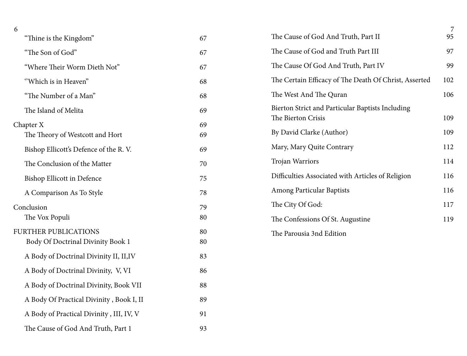| 6<br>"Thine is the Kingdom"                                              | 67       | The Cause of God And Truth, Part II                                    | 7<br>95 |
|--------------------------------------------------------------------------|----------|------------------------------------------------------------------------|---------|
| "The Son of God"                                                         | 67       | The Cause of God and Truth Part III                                    | 97      |
| "Where Their Worm Dieth Not"                                             | 67       | The Cause Of God And Truth, Part IV                                    | 99      |
| "Which is in Heaven"                                                     | 68       | The Certain Efficacy of The Death Of Christ, Asserted                  | 102     |
| "The Number of a Man"                                                    | 68       | The West And The Quran                                                 | 106     |
| The Island of Melita                                                     | 69       | Bierton Strict and Particular Baptists Including<br>The Bierton Crisis | 109     |
| Chapter X                                                                | 69       | By David Clarke (Author)                                               | 109     |
| The Theory of Westcott and Hort<br>Bishop Ellicott's Defence of the R.V. | 69<br>69 | Mary, Mary Quite Contrary                                              | 112     |
| The Conclusion of the Matter                                             | 70       | Trojan Warriors                                                        | 114     |
| <b>Bishop Ellicott in Defence</b>                                        | 75       | Difficulties Associated with Articles of Religion                      | 116     |
| A Comparison As To Style                                                 | 78       | Among Particular Baptists                                              | 116     |
| Conclusion                                                               | 79       | The City Of God:                                                       | 117     |
| The Vox Populi                                                           | 80       | The Confessions Of St. Augustine                                       | 119     |
| <b>FURTHER PUBLICATIONS</b><br>Body Of Doctrinal Divinity Book 1         | 80<br>80 | The Parousia 3nd Edition                                               |         |
| A Body of Doctrinal Divinity II, II, IV                                  | 83       |                                                                        |         |
| A Body of Doctrinal Divinity, V, VI                                      | 86       |                                                                        |         |
| A Body of Doctrinal Divinity, Book VII                                   | 88       |                                                                        |         |
| A Body Of Practical Divinity, Book I, II                                 | 89       |                                                                        |         |
| A Body of Practical Divinity, III, IV, V                                 | 91       |                                                                        |         |
| The Cause of God And Truth, Part 1                                       | 93       |                                                                        |         |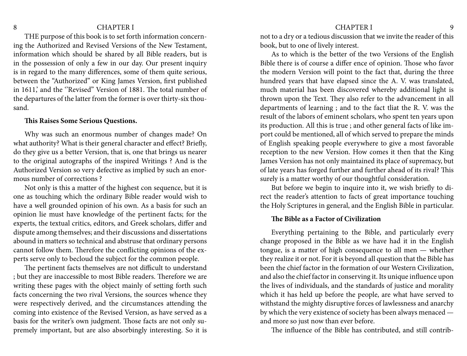### <span id="page-4-0"></span>8 CHAPTER I 9

THE purpose of this book is to set forth information concerning the Authorized and Revised Versions of the New Testament, information which should be shared by all Bible readers, but is in the possession of only a few in our day. Our present inquiry is in regard to the many differences, some of them quite serious, between the "Authorized" or King James Version, first published in 1611,' and the "Revised" Version of 1881. The total number of the departures of the latter from the former is over thirty-six thousand.

### **This Raises Some Serious Questions.**

Why was such an enormous number of changes made? On what authority? What is their general character and effect? Briefly, do they give us a better Version, that is, one that brings us nearer to the original autographs of the inspired Writings ? And is the Authorized Version so very defective as implied by such an enormous number of corrections ?

Not only is this a matter of the highest con sequence, but it is one as touching which the ordinary Bible reader would wish to have a well grounded opinion of his own. As a basis for such an opinion lie must have knowledge of the pertinent facts; for the experts, the textual critics, editors, and Greek scholars, differ and dispute among themselves; and their discussions and dissertations abound in matters so technical and abstruse that ordinary persons cannot follow them. Therefore the conflicting opinions of the experts serve only to becloud the subject for the common people.

The pertinent facts themselves are not difficult to understand ; but they are inaccessible to most Bible readers. Therefore we are writing these pages with the object mainly of setting forth such facts concerning the two rival Versions, the sources whence they were respectively derived, and the circumstances attending the coming into existence of the Revised Version, as have served as a basis for the writer's own judgment. Those facts are not only supremely important, but are also absorbingly interesting. So it is not to a dry or a tedious discussion that we invite the reader of this book, but to one of lively interest.

As to which is the better of the two Versions of the English Bible there is of course a differ ence of opinion. Those who favor the modern Version will point to the fact that, during the three hundred years that have elapsed since the A. V. was translated, much material has been discovered whereby additional light is thrown upon the Text. They also refer to the advancement in all departments of learning ; and to the fact tliat the R. V. was the result of the labors of eminent scholars, who spent ten years upon its production. All this is true ; and other general facts of like import could be mentioned, all of which served to prepare the minds of English speaking people everywhere to give a most favorable reception to the new Version. How comes it then that the King James Version has not only maintained its place of supremacy, but of late years has forged further and further ahead of its rival? This surely is a matter worthy of our thoughtful consideration.

But before we begin to inquire into it, we wish briefly to direct the reader's attention to facts of great importance touching the Holy Scriptures in general, and the English Bible in particular.

#### **The Bible as a Factor of Civilization**

Everything pertaining to the Bible, and particularly every change proposed in the Bible as we have had it in the English tongue, is a matter of high consequence to all men — whether they realize it or not. For it is beyond all question that the Bible has been the chief factor in the formation of our Western Civilization, and also the chief factor in conserving it. Its unique influence upon the lives of individuals, and the standards of justice and morality which it has held up before the people, are what have served to withstand the mighty disruptive forces of lawlessness and anarchy by which the very existence of society has been always menaced and more so just now than ever before.

The influence of the Bible has contributed, and still contrib-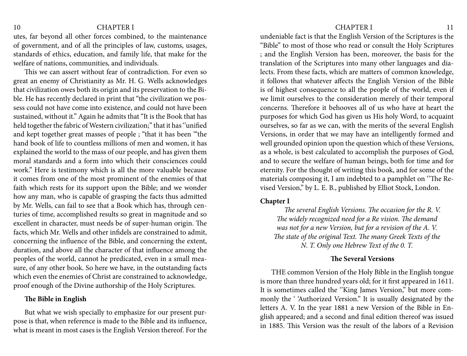utes, far beyond all other forces combined, to the maintenance of government, and of all the principles of law, customs, usages, standards of ethics, education, and family life, that make for the welfare of nations, communities, and individuals.

This we can assert without fear of contradiction. For even so great an enemy of Christianity as Mr. H. G. Wells acknowledges that civilization owes both its origin and its preservation to the Bible. He has recently declared in print that "the civilization we possess could not have come into existence, and could not have been sustained, without it." Again he admits that "It is the Book that has held together the fabric of Western civilization;" that it has "unified and kept together great masses of people ; "that it has been '"the hand book of life to countless millions of men and women, it has explained the world to the mass of our people, and has given them moral standards and a form into which their consciences could work." Here is testimony which is all the more valuable because it comes from one of the most prominent of the enemies of that faith which rests for its support upon the Bible; and we wonder how any man, who is capable of grasping the facts thus admitted by Mr. Wells, can fail to see that a Book which has, through centuries of time, accomplished results so great in magnitude and so excellent in character, must needs be of super-human origin. The facts, which Mr. Wells and other infidels are constrained to admit, concerning the influence of the Bible, and concerning the extent, duration, and above all the character of that influence among the peoples of the world, cannot he predicated, even in a small measure, of any other book. So here we have, in the outstanding facts which even the enemies of Christ are constrained to acknowledge, proof enough of the Divine authorship of the Holy Scriptures.

### **The Bible in English**

But what we wish specially to emphasize for our present purpose is that, when reference is made to the Bible and its influence, what is meant in most cases is the English Version thereof. For the

### 10 CHAPTER I CHAPTER I 11

undeniable fact is that the English Version of the Scriptures is the "Bible" to most of those who read or consult the Holy Scriptures ; and the English Version has been, moreover, the basis for the translation of the Scriptures into many other languages and dialects. From these facts, which are matters of common knowledge, it follows that whatever affects the English Version of the Bible is of highest consequence to all the people of the world, even if we limit ourselves to the consideration merely of their temporal concerns. Therefore it behooves all of us who have at heart the purposes for which God has given us His holy Word, to acquaint ourselves, so far as we can, with the merits of the several English Versions, in order that we may have an intelligently formed and well grounded opinion upon the question which of these Versions, as a whole, is best calculated to accomplish the purposes of God, and to secure the welfare of human beings, both for time and for eternity. For the thought of writing this book, and for some of the materials composing it, I am indebted to a pamphlet on ''The Revised Version," by L. E. B., published by Elliot Stock, London.

#### **Chapter I**

*The several English Versions. The occasion for the R. V. The widely recognized need for a Re vision. The demand was not for a new Version, but for a revision of the A. V. The state of the original Text. The many Greek Texts of the N. T. Only one Hebrew Text of the 0. T.* 

### **The Several Versions**

THE common Version of the Holy Bible in the English tongue is more than three hundred years old; for it first appeared in 1611. It is sometimes called the ''King James Version," but more commonly the ' 'Authorized Version." It is usually designated by the letters A. V. In the year 1881 a new Version of the Bible in English appeared; and a second and final edition thereof was issued in 1885. This Version was the result of the labors of a Revision

<span id="page-5-0"></span>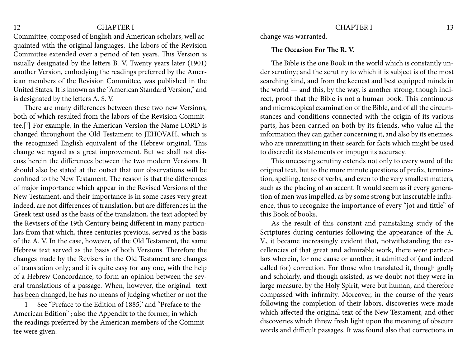#### <span id="page-6-0"></span>12 CHAPTER I CHAPTER I 13

Committee, composed of English and American scholars, well acquainted with the original languages. The labors of the Revision Committee extended over a period of ten years. This Version is usually designated by the letters B. V. Twenty years later (1901) another Version, embodying the readings preferred by the American members of the Revision Committee, was published in the United States. It is known as the "American Standard Version," and is designated by the letters A. S. V.

There are many differences between these two new Versions, both of which resulted from the labors of the Revision Committee.[1 ] For example, in the American Version the Name LORD is changed throughout the Old Testament to JEHOVAH, which is the recognized English equivalent of the Hebrew original. This change we regard as a great improvement. But we shall not discuss herein the differences between the two modern Versions. It should also be stated at the outset that our observations will be confined to the New Testament. The reason is that the differences of major importance which appear in the Revised Versions of the New Testament, and their importance is in some cases very great indeed, are not differences of translation, but are differences in the Greek text used as the basis of the translation, the text adopted by the Revisers of the 19th Century being different in many particulars from that which, three centuries previous, served as the basis of the A. V. In the case, however, of the Old Testament, the same Hebrew text served as the basis of both Versions. Therefore the changes made by the Revisers in the Old Testament are changes of translation only; and it is quite easy for any one, with the help of a Hebrew Concordance, to form an opinion between the several translations of a passage. When, however, the original text has been changed, he has no means of judging whether or not the

1 See "Preface to the Edition of 1885," and "Preface to the American Edition" ; also the Appendix to the former, in which the readings preferred by the American members of the Committee were given.

change was warranted.

#### **The Occasion For The R. V.**

The Bible is the one Book in the world which is constantly under scrutiny; and the scrutiny to which it is subject is of the most searching kind, and from the keenest and best equipped minds in the world — and this, by the way, is another strong, though indirect, proof that the Bible is not a human book. This continuous and microscopical examination of the Bible, and of all the circumstances and conditions connected with the origin of its various parts, has been carried on both by its friends, who value all the information they can gather concerning it, and also by its enemies, who are unremitting in their search for facts which might be used to discredit its statements or impugn its accuracy.

This unceasing scrutiny extends not only to every word of the original text, but to the more minute questions of prefix, termination, spelling, tense of verbs, and even to the very smallest matters, such as the placing of an accent. It would seem as if every generation of men was impelled, as by some strong but inscrutable influence, thus to recognize the importance of every "jot and tittle" of this Book of books.

As the result of this constant and painstaking study of the Scriptures during centuries following the appearance of the A. V., it became increasingly evident that, notwithstanding the excellencies of that great and admirable work, there were particulars wherein, for one cause or another, it admitted of (and indeed called for) correction. For those who translated it, though godly and scholarly, and though assisted, as we doubt not they were in large measure, by the Holy Spirit, were but human, and therefore compassed with infirmity. Moreover, in the course of the years following the completion of their labors, discoveries were made which affected the original text of the New Testament, and other discoveries which threw fresh light upon the meaning of obscure words and difficult passages. It was found also that corrections in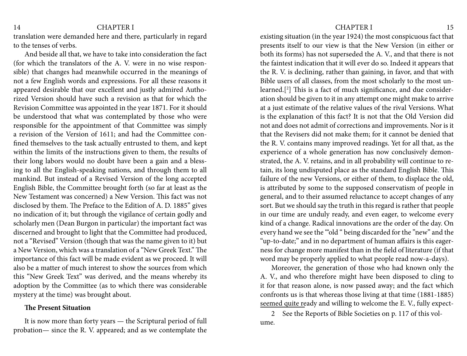### <span id="page-7-0"></span>14 CHAPTER I CHAPTER I 25

translation were demanded here and there, particularly in regard to the tenses of verbs.

And beside all that, we have to take into consideration the fact (for which the translators of the A. V. were in no wise responsible) that changes had meanwhile occurred in the meanings of not a few English words and expressions. For all these reasons it appeared desirable that our excellent and justly admired Authorized Version should have such a revision as that for which the Revision Committee was appointed in the year 1871. For it should be understood that what was contemplated by those who were responsible for the appointment of that Committee was simply a revision of the Version of 1611; and had the Committee confined themselves to the task actually entrusted to them, and kept within the limits of the instructions given to them, the results of their long labors would no doubt have been a gain and a blessing to all the English-speaking nations, and through them to all mankind. But instead of a Revised Version of the long accepted English Bible, the Committee brought forth (so far at least as the New Testament was concerned) a New Version. This fact was not disclosed by them. The Preface to the Edition of A. D. 1885" gives no indication of it; but through the vigilance of certain godly and scholarly men (Dean Burgon in particular) the important fact was discerned and brought to light that the Committee had produced, not a "Revised" Version (though that was the name given to it) but a New Version, which was a translation of a "New Greek Text." The importance of this fact will be made evident as we proceed. It will also be a matter of much interest to show the sources from which this "New Greek Text" was derived, and the means whereby its adoption by the Committee (as to which there was considerable mystery at the time) was brought about.

### **The Present Situation**

It is now more than forty years — the Scriptural period of full probation— since the R. V. appeared; and as we contemplate the

existing situation (in the year 1924) the most conspicuous fact that presents itself to our view is that the New Version (in either or both its forms) has not superseded the A. V., and that there is not the faintest indication that it will ever do so. Indeed it appears that the R. V. is declining, rather than gaining, in favor, and that with Bible users of all classes, from the most scholarly to the most unlearned.[2 ] This is a fact of much significance, and due consideration should be given to it in any attempt one might make to arrive at a just estimate of the relative values of the rival Versions. What is the explanation of this fact? It is not that the Old Version did not and does not admit of corrections and improvements. Nor is it that the Revisers did not make them; for it cannot be denied that the R. V. contains many improved readings. Yet for all that, as the experience of a whole generation has now conclusively demonstrated, the A. V. retains, and in all probability will continue to retain, its long undisputed place as the standard English Bible. This failure of the new Versions, or either of them, to displace the old, is attributed by some to the supposed conservatism of people in general, and to their assumed reluctance to accept changes of any sort. But we should say the truth in this regard is rather that people in our time are unduly ready, and even eager, to welcome every kind of a change. Radical innovations are the order of the day. On every hand we see the '"old " being discarded for the "new" and the "up-to-date;" and in no department of human affairs is this eagerness for change more manifest than in the field of literature (if that word may be properly applied to what people read now-a-days).

Moreover, the generation of those who had known only the A. V., and who therefore might have been disposed to cling to it for that reason alone, is now passed away; and the fact which confronts us is that whereas those living at that time (1881-1885) seemed quite ready and willing to welcome the E. V., fully expect-

2 See the Reports of Bible Societies on p. 117 of this volume.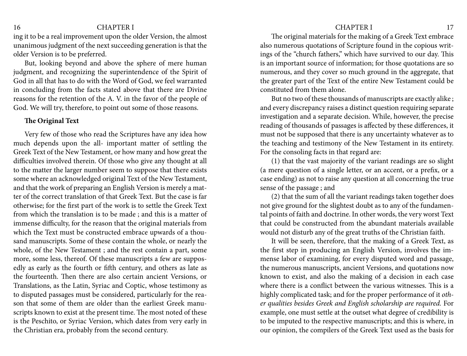### <span id="page-8-0"></span>16 CHAPTER I CHAPTER I 27

ing it to be a real improvement upon the older Version, the almost unanimous judgment of the next succeeding generation is that the older Version is to be preferred.

But, looking beyond and above the sphere of mere human judgment, and recognizing the superintendence of the Spirit of God in all that has to do with the Word of God, we feel warranted in concluding from the facts stated above that there are Divine reasons for the retention of the A. V. in the favor of the people of God. We will try, therefore, to point out some of those reasons.

### **The Original Text**

Very few of those who read the Scriptures have any idea how much depends upon the all- important matter of settling the Greek Text of the New Testament, or how many and how great the difficulties involved therein. Of those who give any thought at all to the matter the larger number seem to suppose that there exists some where an acknowledged original Text of the New Testament, and that the work of preparing an English Version is merely a matter of the correct translation of that Greek Text. But the case is far otherwise; for the first part of the work is to settle the Greek Text from which the translation is to be made ; and this is a matter of immense difficulty, for the reason that the original materials from which the Text must be constructed embrace upwards of a thousand manuscripts. Some of these contain the whole, or nearly the whole, of the New Testament ; and the rest contain a part, some more, some less, thereof. Of these manuscripts a few are supposedly as early as the fourth or fifth century, and others as late as the fourteenth. Then there are also certain ancient Versions, or Translations, as the Latin, Syriac and Coptic, whose testimony as to disputed passages must be considered, particularly for the reason that some of them are older than the earliest Greek manuscripts known to exist at the present time. The most noted of these is the Peschito, or Syriac Version, which dates from very early in the Christian era, probably from the second century.

The original materials for the making of a Greek Text embrace also numerous quotations of Scripture found in the copious writings of the "church fathers," which have survived to our day. This is an important source of information; for those quotations are so numerous, and they cover so much ground in the aggregate, that the greater part of the Text of the entire New Testament could be constituted from them alone.

But no two of these thousands of manuscripts are exactly alike ; and every discrepancy raises a distinct question requiring separate investigation and a separate decision. While, however, the precise reading of thousands of passages is affected by these differences, it must not be supposed that there is any uncertainty whatever as to the teaching and testimony of the New Testament in its entirety. For the consoling facts in that regard are:

(1) that the vast majority of the variant readings are so slight (a mere question of a single letter, or an accent, or a prefix, or a case ending) as not to raise any question at all concerning the true sense of the passage ; and

(2) that the sum of all the variant readings taken together does not give ground for the slightest doubt as to any of the fundamental points of faith and doctrine. In other words, the very worst Text that could be constructed from the abundant materials available would not disturb any of the great truths of the Christian faith.

It will be seen, therefore, that the making of a Greek Text, as the first step in producing an English Version, involves the immense labor of examining, for every disputed word and passage, the numerous manuscripts, ancient Versions, and quotations now known to exist, and also the making of a decision in each case where there is a conflict between the various witnesses. This is a highly complicated task; and for the proper performance of it *other qualities besides Greek and English scholarship are required.* For example, one must settle at the outset what degree of credibility is to be imputed to the respective manuscripts; and this is where, in our opinion, the compilers of the Greek Text used as the basis for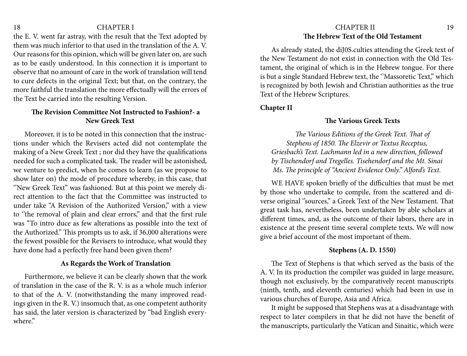the E. V. went far astray, with the result that the Text adopted by them was much inferior to that used in the translation of the A. V. Our reasons for this opinion, which will be given later on, are such as to be easily understood. In this connection it is important to observe that no amount of care in the work of translation will tend to cure defects in the original Text; but that, on the contrary, the more faithful the translation the more effectually will the errors of the Text be carried into the resulting Version.

# **The Revision Committee Not Instructed to Fashion?- a New Greek Text**

Moreover, it is to be noted in this connection that the instructions under which the Revisers acted did not contemplate the making of a New Greek Text ; nor did they have the qualifications needed for such a complicated task. The reader will be astonished, we venture to predict, when he comes to learn (as we propose to show later on) the mode of procedure whereby, in this case, that ''New Greek Text" was fashioned. But at this point we merely direct attention to the fact that the Committee was instructed to under take "A Revision of the Authorized Version," with a view to ''the removal of plain and clear errors," and that the first rule was "To intro duce as few alterations as possible into the text of the Authorized." This prompts us to ask, if 36,000 alterations were the fewest possible for the Revisers to introduce, what would they have done had a perfectly free hand been given them?

### **As Regards the Work of Translation**

Furthermore, we believe it can be clearly shown that the work of translation in the case of the R. V. is as a whole much inferior to that of the A. V. (notwithstanding the many improved readings given in the R. V.) insomuch that, as one competent authority has said, the later version is characterized by "bad English everywhere.''

#### <span id="page-9-0"></span>18 CHAPTER I CHAPTER I 29 **The Hebrew Text of the Old Testament**

As already stated, the diJ0S.culties attending the Greek text of the New Testament do not exist in connection with the Old Testament, the original of which is in the Hebrew tongue. For there is but a single Standard Hebrew text, the "Massoretic Text," which is recognized by both Jewish and Christian authorities as the true Text of the Hebrew Scriptures.

#### **Chapter II**

#### **The Various Greek Texts**

*The Various Editions of the Greek Text. That of Stephens of 1850. The Elzevir or Textus Receptus, Griesbach's Text. Lachmann led in a new direction, followed by Tischendorf and Tregelles. Tisehendorf and the Mt. Sinai Ms. The principle of "Ancient Evidence Only." Alford's Text.* 

WE HAVE spoken briefly of the difficulties that must be met by those who undertake to compile, from the scattered and diverse original ''sources," a Greek Text of the New Testament. That great task has, nevertheless, been undertaken by able scholars at different times, and, as the outcome of their labors, there are in existence at the present time several complete texts. We will now give a brief account of the most important of them.

#### **Stephens (A. D. 1550)**

The Text of Stephens is that which served as the basis of the A. V. In its production the compiler was guided in large measure, though not exclusively, by the comparatively recent manuscripts (ninth, tenth, and eleventh centuries) which had been in use in various churches of Europe, Asia and Africa.

It might be supposed that Stephens was at a disadvantage with respect to later compilers in that he did not have the benefit of the manuscripts, particularly the Vatican and Sinaitic, which were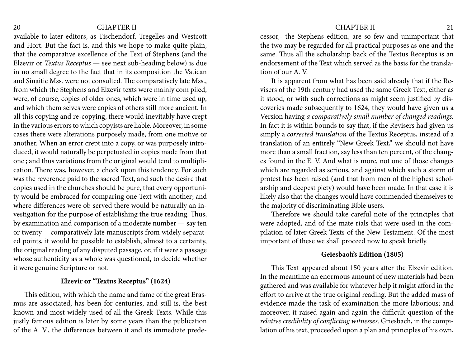available to later editors, as Tischendorf, Tregelles and Westcott and Hort. But the fact is, and this we hope to make quite plain, that the comparative excellence of the Text of Stephens (and the Elzevir or *Textus Receptus* — see next sub-heading below) is due in no small degree to the fact that in its composition the Vatican and Sinaitic Mss. were not consulted. The comparatively late Mss., from which the Stephens and Elzevir texts were mainly com piled, were, of course, copies of older ones, which were in time used up, and which them selves were copies of others still more ancient. In all this copying and re-copying, there would inevitably have crept in the various errors to which copyists are liable. Moreover, in some cases there were alterations purposely made, from one motive or another. When an error crept into a copy, or was purposely introduced, it would naturally be perpetuated in copies made from that one ; and thus variations from the original would tend to multiplication. There was, however, a check upon this tendency. For such was the reverence paid to the sacred Text, and such the desire that copies used in the churches should be pure, that every opportunity would be embraced for comparing one Text with another; and where differences were ob served there would be naturally an investigation for the purpose of establishing the true reading. Thus, by examination and comparison of a moderate number — say ten or twenty— comparatively late manuscripts from widely separated points, it would be possible to establish, almost to a certainty, the original reading of any disputed passage, or, if it were a passage whose authenticity as a whole was questioned, to decide whether it were genuine Scripture or not.

# **Elzevir or "Textus Receptus" (1624)**

This edition, with which the name and fame of the great Erasmus are associated, has been for centuries, and still is, the best known and most widely used of all the Greek Texts. While this justly famous edition is later by some years than the publication of the A. V., the differences between it and its immediate prede-

### <span id="page-10-0"></span>20 CHAPTER II CHAPTER II 21

cessor,- the Stephens edition, are so few and unimportant that the two may be regarded for all practical purposes as one and the same. Thus all the scholarship back of the Textus Receptus is an endorsement of the Text which served as the basis for the translation of our A. V.

It is apparent from what has been said already that if the Revisers of the 19th century had used the same Greek Text, either as it stood, or with such corrections as might seem justified by discoveries made subsequently to 1624, they would have given us a Version having *a comparatively small number of changed readings.* In fact it is within bounds to say that, if the Revisers had given us simply a *corrected translation* of the Textus Receptus, instead of a translation of an entirely "New Greek Text," we should not have more than a small fraction, say less than ten percent, of the changes found in the E. V. And what is more, not one of those changes which are regarded as serious, and against which such a storm of protest has been raised (and that from men of the highest scholarship and deepest piety) would have been made. In that case it is likely also that the changes would have commended themselves to the majority of discriminating Bible users.

Therefore we should take careful note of the principles that were adopted, and of the mate rials that were used in the compilation of later Greek Texts of the New Testament. Of the most important of these we shall proceed now to speak briefly.

#### **Geiesbaoh's Edition (1805)**

This Text appeared about 150 years after the Elzevir edition. In the meantime an enormous amount of new materials had been gathered and was available for whatever help it might afford in the effort to arrive at the true original reading. But the added mass of evidence made the task of examination the more laborious; and moreover, it raised again and again the difficult question of the *relative credibility of conflicting witnesses*. Griesbach, in the compilation of his text, proceeded upon a plan and principles of his own,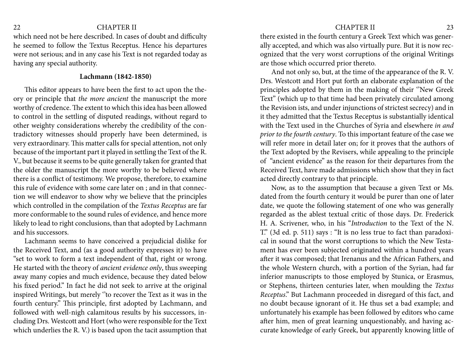### <span id="page-11-0"></span>22 CHAPTER II CHAPTER II 23

which need not be here described. In cases of doubt and difficulty he seemed to follow the Textus Receptus. Hence his departures were not serious; and in any case his Text is not regarded today as having any special authority.

### **Lachmann (1842-1850)**

This editor appears to have been the first to act upon the theory or principle that *the more ancient* the manuscript the more worthy of credence. The extent to which this idea has been allowed to control in the settling of disputed readings, without regard to other weighty considerations whereby the credibility of the contradictory witnesses should properly have been determined, is very extraordinary. This matter calls for special attention, not only because of the important part it played in settling the Text of the R. V., but because it seems to be quite generally taken for granted that the older the manuscript the more worthy to be believed where there is a conflict of testimony. We propose, therefore, to examine this rule of evidence with some care later on ; and in that connection we will endeavor to show why we believe that the principles which controlled in the compilation of the *Textus Receptus* are far more conformable to the sound rules of evidence, and hence more likely to lead to right conclusions, than that adopted by Lachmann and his successors.

Lachmann seems to have conceived a prejudicial dislike for the Received Text, and (as a good authority expresses it) to have "set to work to form a text independent of that, right or wrong. He started with the theory of *ancient evidence only*, thus sweeping away many copies and much evidence, because they dated below his fixed period." In fact he did not seek to arrive at the original inspired Writings, but merely ''to recover the Text as it was in the fourth century." This principle, first adopted by Lachmann, and followed with well-nigh calamitous results by his successors, including Drs. Westcott and Hort (who were responsible for the Text which underlies the R. V.) is based upon the tacit assumption that

there existed in the fourth century a Greek Text which was generally accepted, and which was also virtually pure. But it is now recognized that the very worst corruptions of the original Writings are those which occurred prior thereto.

And not only so, but, at the time of the appearance of the R. V. Drs. Westcott and Hort put forth an elaborate explanation of the principles adopted by them in the making of their ''New Greek Text" (which up to that time had been privately circulated among the Revision ists, and under injunctions of strictest secrecy) and in it they admitted that the Textus Receptus is substantially identical with the Text used in the Churches of Syria and elsewhere *in and prior to the fourth century*. To this important feature of the case we will refer more in detail later on; for it proves that the authors of the Text adopted by the Revisers, while appealing to the principle of "ancient evidence" as the reason for their departures from the Received Text, have made admissions which show that they in fact acted directly contrary to that principle.

Now, as to the assumption that because a given Text or Ms. dated from the fourth century it would be purer than one of later date, we quote the following statement of one who was generally regarded as the ablest textual critic of those days. Dr. Frederick H. A. Scrivener, who, in his "*Introduction* to the Text of the N. T." (3d ed. p. 511) says : "It is no less true to fact than paradoxical in sound that the worst corruptions to which the New Testament has ever been subjected originated within a hundred years after it was composed; that Irenanus and the African Fathers, and the whole Western church, with a portion of the Syrian, had far inferior manuscripts to those employed by Stunica, or Erasmus, or Stephens, thirteen centuries later, when moulding the *Textus Receptus*." But Lachmann proceeded in disregard of this fact, and no doubt because ignorant of it. He thus set a bad example; and unfortunately his example has been followed by editors who came after him, men of great learning unquestionably, and having accurate knowledge of early Greek, but apparently knowing little of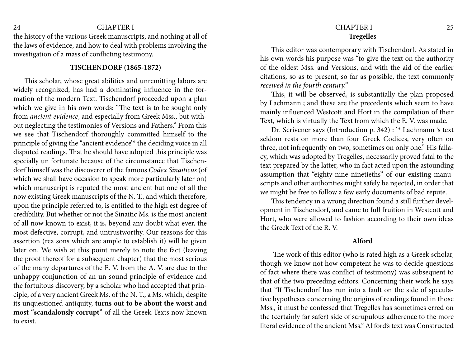the history of the various Greek manuscripts, and nothing at all of the laws of evidence, and how to deal with problems involving the investigation of a mass of conflicting testimony.

### **TISCHENDORF (1865-1872)**

This scholar, whose great abilities and unremitting labors are widely recognized, has had a dominating influence in the formation of the modern Text. Tischendorf proceeded upon a plan which we give in his own words: "The text is to be sought only from *ancient evidence*, and especially from Greek Mss., but without neglecting the testimonies of Versions and Fathers." From this we see that Tischendorf thoroughly committed himself to the principle of giving the "ancient evidence'\* the deciding voice in all disputed readings. That he should have adopted this principle was specially un fortunate because of the circumstance that Tischendorf himself was the discoverer of the famous *Codex Sinaiticus* (of which we shall have occasion to speak more particularly later on) which manuscript is reputed the most ancient but one of all the now existing Greek manuscripts of the N. T., and which therefore, upon the principle referred to, is entitled to the high est degree of credibility. But whether or not the Sinaitic Ms. is the most ancient of all now known to exist, it is, beyond any doubt what ever, the most defective, corrupt, and untrustworthy. Our reasons for this assertion (rea sons which are ample to establish it) will be given later on. We wish at this point merely to note the fact (leaving the proof thereof for a subsequent chapter) that the most serious of the many departures of the E. V. from the A. V. are due to the unhappy conjunction of an un sound principle of evidence and the fortuitous discovery, by a scholar who had accepted that principle, of a very ancient Greek Ms. of the N. T., a Ms. which, despite its unquestioned antiquity, **turns out to be about the worst and most** "**scandalously corrupt**" of all the Greek Texts now known to exist.

### 24 CHAPTER I 25 **Tregelles**

This editor was contemporary with Tischendorf. As stated in his own words his purpose was "to give the text on the authority of the oldest Mss. and Versions, and with the aid of the earlier citations, so as to present, so far as possible, the text commonly *received in the fourth century."* 

This, it will be observed, is substantially the plan proposed by Lachmann ; and these are the precedents which seem to have mainly influenced Westcott and Hort in the compilation of their Text, which is virtually the Text from which the E. V. was made.

Dr. Scrivener says (Introduction p. 342) : '\* Lachmann 's text seldom rests on more than four Greek Codices, very often on three, not infrequently on two, sometimes on only one." His fallacy, which was adopted by Tregelles, necessarily proved fatal to the text prepared by the latter, who in fact acted upon the astounding assumption that "eighty-nine ninetieths" of our existing manuscripts and other authorities might safely be rejected, in order that we might be free to follow a few early documents of bad repute.

This tendency in a wrong direction found a still further development in Tischendorf, and came to full fruition in Westcott and Hort, who were allowed to fashion according to their own ideas the Greek Text of the R. V.

### **Alford**

 The work of this editor (who is rated high as a Greek scholar, though we know not how competent he was to decide questions of fact where there was conflict of testimony) was subsequent to that of the two preceding editors. Concerning their work he says that "If Tischendorf has run into a fault on the side of speculative hypotheses concerning the origins of readings found in those Mss., it must be confessed that Tregelles has sometimes erred on the (certainly far safer) side of scrupulous adherence to the more literal evidence of the ancient Mss." Al ford's text was Constructed

<span id="page-12-0"></span>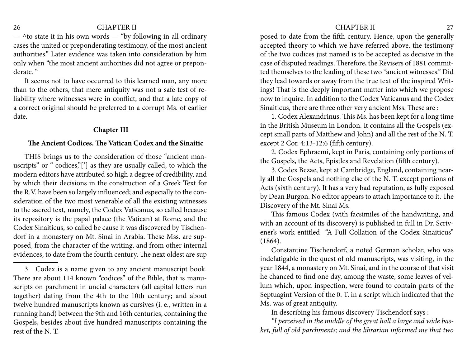#### <span id="page-13-0"></span>26 CHAPTER II CHAPTER II 27

—  $\wedge$  to state it in his own words — "by following in all ordinary" cases the united or preponderating testimony, of the most ancient authorities." Later evidence was taken into consideration by him only when "the most ancient authorities did not agree or preponderate. "

It seems not to have occurred to this learned man, any more than to the others, that mere antiquity was not a safe test of reliability where witnesses were in conflict, and that a late copy of a correct original should be preferred to a corrupt Ms. of earlier date.

#### **Chapter III**

### **The Ancient Codices. The Vatican Codex and the Sinaitic**

THIS brings us to the consideration of those "ancient manuscripts" or " codices,"[3 ] as they are usually called, to which the modern editors have attributed so high a degree of credibility, and by which their decisions in the construction of a Greek Text for the R.V. have been so largely influenced; and especially to the consideration of the two most venerable of all the existing witnesses to the sacred text, namely, the Codex Vaticanus, so called because its repository is the papal palace (the Vatican) at Rome, and the Codex Sinaiticus, so called be cause it was discovered by Tischendorf in a monastery on Mt. Sinai in Arabia. These Mss. are supposed, from the character of the writing, and from other internal evidences, to date from the fourth century. The next oldest are sup

posed to date from the fifth century. Hence, upon the generally accepted theory to which we have referred above, the testimony of the two codices just named is to be accepted as decisive in the case of disputed readings. Therefore, the Revisers of 1881 committed themselves to the leading of these two ''ancient witnesses." Did they lead towards or away from the true text of the inspired Writings! That is the deeply important matter into which we propose now to inquire. In addition to the Codex Vaticanus and the Codex Sinaiticus, there are three other very ancient Mss. These are :

1. Codex Alexandrinus. This Ms. has been kept for a long time in the British Museum in London. It contains all the Gospels (except small parts of Matthew and John) and all the rest of the N. T. except 2 Cor. 4:13-12:6 (fifth century).

2. Codex Ephraemi, kept in Paris, containing only portions of the Gospels, the Acts, Epistles and Revelation (fifth century).

3. Codex Bezae, kept at Cambridge, England, containing nearly all the Gospels and nothing else of the N. T. except portions of Acts (sixth century). It has a very bad reputation, as fully exposed by Dean Burgon. No editor appears to attach importance to it. The Discovery of the Mt. Sinai Ms.

This famous Codex (with facsimiles of the handwriting, and with an account of its discovery) is published in full in Dr. Scrivener's work entitled "A Full Collation of the Codex Sinaiticus" (1864).

Constantine Tischendorf, a noted German scholar, who was indefatigable in the quest of old manuscripts, was visiting, in the year 1844, a monastery on Mt. Sinai, and in the course of that visit he chanced to find one day, among the waste, some leaves of vellum which, upon inspection, were found to contain parts of the Septuagint Version of the 0. T. in a script which indicated that the Ms. was of great antiquity.

In describing his famous discovery Tischendorf says :

*"I perceived in the middle of the great hall a large and wide basket, full of old parchments; and the librarian informed me that two* 

<sup>3</sup> Codex is a name given to any ancient manuscript book. There are about 114 known "codices" of the Bible, that is manuscripts on parchment in uncial characters (all capital letters run together) dating from the 4th to the 10th century; and about twelve hundred manuscripts known as cursives (i. e., written in a running hand) between the 9th and 16th centuries, containing the Gospels, besides about five hundred manuscripts containing the rest of the N. T.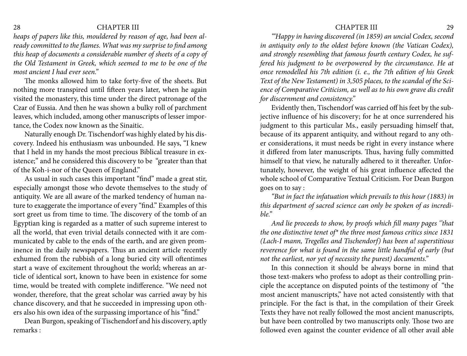# <span id="page-14-0"></span>28 CHAPTER III CHAPTER III 29

*heaps of papers like this, mouldered by reason of age, had been already committed to the flames. What was my surprise to find among this heap of documents a considerable number of sheets of a copy of the Old Testament in Greek, which seemed to me to be one of the most ancient I had ever seen."* 

The monks allowed him to take forty-five of the sheets. But nothing more transpired until fifteen years later, when he again visited the monastery, this time under the direct patronage of the Czar of Eussia. And then he was shown a bulky roll of parchment leaves, which included, among other manuscripts of lesser importance, the Codex now known as the Sinaitic.

Naturally enough Dr. Tischendorf was highly elated by his discovery. Indeed his enthusiasm was unbounded. He says, "I knew that I held in my hands the most precious Biblical treasure in existence;" and he considered this discovery to be "greater than that of the Koh-i-nor of the Queen of England."

As usual in such cases this important "find" made a great stir, especially amongst those who devote themselves to the study of antiquity. We are all aware of the marked tendency of human nature to exaggerate the importance of every "find." Examples of this sort greet us from time to time. The discovery of the tomb of an Egyptian king is regarded as a matter of such supreme interest to all the world, that even trivial details connected with it are communicated by cable to the ends of the earth, and are given prominence in the daily newspapers. Thus an ancient article recently exhumed from the rubbish of a long buried city will oftentimes start a wave of excitement throughout the world; whereas an article of identical sort, known to have been in existence for some time, would be treated with complete indifference. "We need not wonder, therefore, that the great scholar was carried away by his chance discovery, and that he succeeded in impressing upon others also his own idea of the surpassing importance of his "find."

Dean Burgon, speaking of Tischendorf and his discovery, aptly remarks :

*'"Happy in having discovered (in 1859) an uncial Codex, second in antiquity only to the oldest before known (the Vatican Codex), and strongly resembling that famous fourth century Codex, he suffered his judgment to be overpowered by the circumstance. He at once remodelled his 7th edition (i. e., the 7th edition of his Greek Text of the New Testament) in 3,505 places, to the scandal of the Science of Comparative Criticism, as well as to his own grave dis credit for discernment and consistency."*

Evidently then, Tischendorf was carried off his feet by the subjective influence of his discovery; for he at once surrendered his judgment to this particular Ms., easily persuading himself that, because of its apparent antiquity, and without regard to any other considerations, it must needs be right in every instance where it differed from later manuscripts. Thus, having fully committed himself to that view, he naturally adhered to it thereafter. Unfortunately, however, the weight of his great influence affected the whole school of Comparative Textual Criticism. For Dean Burgon goes on to say :

*"But in fact the infatuation which prevails to this hour (1883) in this department of sacred science can only be spoken of as incredible."* 

*And lie proceeds to show, by proofs which fill many pages ''that the one distinctive tenet of\* the three most famous critics since 1831 (Lach-I mann, Tregelles and Tischendorf) has been a! superstitious reverence for what is found in the same little handful of early (but not the earliest, nor yet of necessity the purest) documents."*

In this connection it should be always borne in mind that those text-makers who profess to adopt as their controlling principle the acceptance on disputed points of the testimony of "the most ancient manuscripts," have not acted consistently with that principle. For the fact is that, in the compilation of their Greek Texts they have not really followed the most ancient manuscripts, but have been controlled by two manuscripts only. Those two are followed even against the counter evidence of all other avail able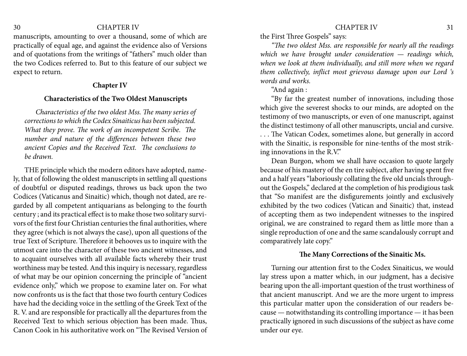#### <span id="page-15-0"></span>30 CHAPTER IV 31

manuscripts, amounting to over a thousand, some of which are practically of equal age, and against the evidence also of Versions and of quotations from the writings of "fathers" much older than the two Codices referred to. But to this feature of our subject we expect to return.

#### **Chapter IV**

### **Characteristics of the Two Oldest Manuscripts**

*Characteristics of the two oldest Mss. The many series of corrections to which the Codex Sinaiticus has been subjected. What they prove. The work of an incompetent Scribe. The number and nature of the differences between these two ancient Copies and the Received Text. The conclusions to be drawn.*

THE principle which the modern editors have adopted, namely, that of following the oldest manuscripts in settling all questions of doubtful or disputed readings, throws us back upon the two Codices (Vaticanus and Sinaitic) which, though not dated, are regarded by all competent antiquarians as belonging to the fourth century ; and its practical effect is to make those two solitary survivors of the first four Christian centuries the final authorities, where they agree (which is not always the case), upon all questions of the true Text of Scripture. Therefore it behooves us to inquire with the utmost care into the character of these two ancient witnesses, and to acquaint ourselves with all available facts whereby their trust worthiness may be tested. And this inquiry is necessary, regardless of what may be our opinion concerning the principle of "ancient evidence only," which we propose to examine later on. For what now confronts us is the fact that those two fourth century Codices have had the deciding voice in the settling of the Greek Text of the R. V. and are responsible for practically all the departures from the Received Text to which serious objection has been made. Thus, Canon Cook in his authoritative work on "The Revised Version of the First Three Gospels" says:

*"The two oldest Mss. are responsible for nearly all the readings which we have brought under consideration — readings which, when we look at them individually, and still more when we regard them collectively, inflict most grievous damage upon our Lord 's words and works.*

"And again :

"By far the greatest number of innovations, including those which give the severest shocks to our minds, are adopted on the testimony of two manuscripts, or even of one manuscript, against the distinct testimony of all other manuscripts, uncial and cursive. . . . The Vatican Codex, sometimes alone, but generally in accord with the Sinaitic, is responsible for nine-tenths of the most striking innovations in the R.V."

Dean Burgon, whom we shall have occasion to quote largely because of his mastery of the en tire subject, after having spent five and a half years "laboriously collating the five old uncials throughout the Gospels," declared at the completion of his prodigious task that "So manifest are the disfigurements jointly and exclusively exhibited by the two codices (Vatican and Sinaitic) that, instead of accepting them as two independent witnesses to the inspired original, we are constrained to regard them as little more than a single reproduction of one and the same scandalously corrupt and comparatively late copy."

### **The Many Corrections of the Sinaitic Ms.**

Turning our attention first to the Codex Sinaiticus, we would lay stress upon a matter which, in our judgment, has a decisive bearing upon the all-important question of the trust worthiness of that ancient manuscript. And we are the more urgent to impress this particular matter upon the consideration of our readers because — notwithstanding its controlling importance — it has been practically ignored in such discussions of the subject as have come under our eye.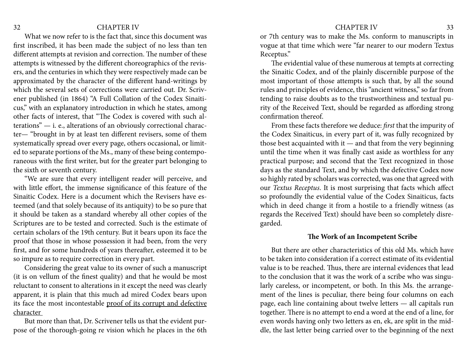### <span id="page-16-0"></span>32 CHAPTER IV 33

What we now refer to is the fact that, since this document was first inscribed, it has been made the subject of no less than ten different attempts at revision and correction. The number of these attempts is witnessed by the different choreographics of the revisers, and the centuries in which they were respectively made can be approximated by the character of the different hand-writings by which the several sets of corrections were carried out. Dr. Scrivener published (in 1864) "A Full Collation of the Codex Sinaiticus," with an explanatory introduction in which he states, among other facts of interest, that "The Codex is covered with such alterations" — i. e., alterations of an obviously correctional character— "brought in by at least ten different revisers, some of them systematically spread over every page, others occasional, or limited to separate portions of the Ms., many of these being contemporaneous with the first writer, but for the greater part belonging to the sixth or seventh century.

"We are sure that every intelligent reader will perceive, and with little effort, the immense significance of this feature of the Sinaitic Codex. Here is a document which the Revisers have esteemed (and that solely because of its antiquity) to be so pure that it should be taken as a standard whereby all other copies of the Scriptures are to be tested and corrected. Such is the estimate of certain scholars of the 19th century. But it bears upon its face the proof that those in whose possession it had been, from the very first, and for some hundreds of years thereafter, esteemed it to be so impure as to require correction in every part.

Considering the great value to its owner of such a manuscript (it is on vellum of the finest quality) and that he would be most reluctant to consent to alterations in it except the need was clearly apparent, it is plain that this much ad mired Codex bears upon its face the most incontestable proof of its corrupt and defective character

But more than that, Dr. Scrivener tells us that the evident purpose of the thorough-going re vision which he places in the 6th or 7th century was to make the Ms. conform to manuscripts in vogue at that time which were "far nearer to our modern Textus Receptus."

The evidential value of these numerous at tempts at correcting the Sinaitic Codex, and of the plainly discernible purpose of the most important of those attempts is such that, by all the sound rules and principles of evidence, this "ancient witness," so far from tending to raise doubts as to the trustworthiness and textual purity of the Received Text, should be regarded as affording strong confirmation thereof.

From these facts therefore we deduce: *first* that the impurity of the Codex Sinaiticus, in every part of it, was fully recognized by those best acquainted with it  $-$  and that from the very beginning until the time when it was finally cast aside as worthless for any practical purpose; and second that the Text recognized in those days as the standard Text, and by which the defective Codex now so highly rated by scholars was corrected, was one that agreed with our *Textus Receptus*. It is most surprising that facts which affect so profoundly the evidential value of the Codex Sinaiticus, facts which in deed change it from a hostile to a friendly witness (as regards the Received Text) should have been so completely disregarded.

#### **The Work of an Incompetent Scribe**

But there are other characteristics of this old Ms. which have to be taken into consideration if a correct estimate of its evidential value is to be reached. Thus, there are internal evidences that lead to the conclusion that it was the work of a scribe who was singularly careless, or incompetent, or both. In this Ms. the arrangement of the lines is peculiar, there being four columns on each page, each line containing about twelve letters — all capitals run together. There is no attempt to end a word at the end of a line, for even words having only two letters as en, ek, are split in the middle, the last letter being carried over to the beginning of the next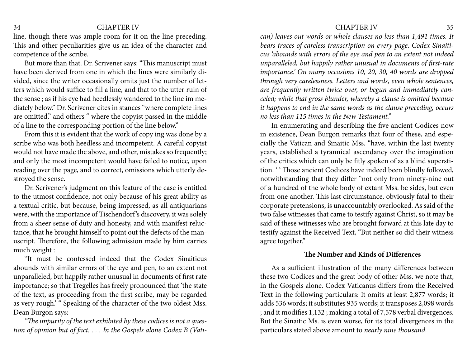### <span id="page-17-0"></span>34 CHAPTER IV 35

line, though there was ample room for it on the line preceding. This and other peculiarities give us an idea of the character and competence of the scribe.

But more than that. Dr. Scrivener says: "This manuscript must have been derived from one in which the lines were similarly divided, since the writer occasionally omits just the number of letters which would suffice to fill a line, and that to the utter ruin of the sense ; as if his eye had heedlessly wandered to the line im mediately below." Dr. Scrivener cites in stances "where complete lines are omitted," and others " where the copyist passed in the middle of a line to the corresponding portion of the line below."

From this it is evident that the work of copy ing was done by a scribe who was both heedless and incompetent. A careful copyist would not have made the above, and other, mistakes so frequently; and only the most incompetent would have failed to notice, upon reading over the page, and to correct, omissions which utterly destroyed the sense.

Dr. Scrivener's judgment on this feature of the case is entitled to the utmost confidence, not only because of his great ability as a textual critic, but because, being impressed, as all antiquarians were, with the importance of Tischendorf's discovery, it was solely from a sheer sense of duty and honesty, and with manifest reluctance, that he brought himself to point out the defects of the manuscript. Therefore, the following admission made by him carries much weight :

"It must be confessed indeed that the Codex Sinaiticus abounds with similar errors of the eye and pen, to an extent not unparalleled, but happily rather unusual in documents of first rate importance; so that Tregelles has freely pronounced that 'the state of the text, as proceeding from the first scribe, may be regarded as very rough.' " Speaking of the character of the two oldest Mss. Dean Burgon says:

*"The impurity of the text exhibited by these codices is not a question of opinion but of fact. . . . In the Gospels alone Codex B (Vati-* *can) leaves out words or whole clauses no less than 1,491 times. It bears traces of careless transcription on every page. Codex Sinaiticus 'abounds with errors of the eye and pen to an extent not indeed unparalleled, but happily rather unusual in documents of first-rate importance.' On many occasions 10, 20, 30, 40 words are dropped through very carelessness. Letters and words, even whole sentences, are frequently written twice over, or begun and immediately canceled; while that gross blunder, whereby a clause is omitted because it happens to end in the same words as the clause preceding, occurs no less than 115 times in the New Testament."* 

In enumerating and describing the five ancient Codices now in existence, Dean Burgon remarks that four of these, and especially the Vatican and Sinaitic Mss. "have, within the last twenty years, established a tyrannical ascendancy over the imagination of the critics which can only be fitly spoken of as a blind superstition. ' ' Those ancient Codices have indeed been blindly followed, notwithstanding that they differ "not only from ninety-nine out of a hundred of the whole body of extant Mss. be sides, but even from one another. This last circumstance, obviously fatal to their corporate pretensions, is unaccountably overlooked. As said of the two false witnesses that came to testify against Christ, so it may be said of these witnesses who are brought forward at this late day to testify against the Received Text, "But neither so did their witness agree together."

### **The Number and Kinds of Differences**

As a sufficient illustration of the many differences between these two Codices and the great body of other Mss. we note that, in the Gospels alone. Codex Vaticanus differs from the Received Text in the following particulars: It omits at least 2,877 words; it adds 536 words; it substitutes 935 words; it transposes 2,098 words ; and it modifies 1,132 ; making a total of 7,578 verbal divergences. But the Sinaitic Ms. is even worse, for its total divergences in the particulars stated above amount to *nearly nine thousand*.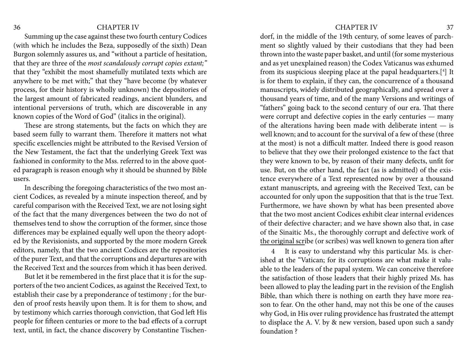Summing up the case against these two fourth century Codices (with which he includes the Beza, supposedly of the sixth) Dean Burgon solemnly assures us, and "without a particle of hesitation, that they are three of the *most scandalously corrupt copies extant;"*  that they "exhibit the most shamefully mutilated texts which are anywhere to be met with;" that they "have become (by whatever process, for their history is wholly unknown) the depositories of the largest amount of fabricated readings, ancient blunders, and intentional perversions of truth, which are discoverable in any known copies of the Word of God" (italics in the original).

These are strong statements, but the facts on which they are based seem fully to warrant them. Therefore it matters not what specific excellencies might be attributed to the Revised Version of the New Testament, the fact that the underlying Greek Text was fashioned in conformity to the Mss. referred to in the above quoted paragraph is reason enough why it should be shunned by Bible users.

In describing the foregoing characteristics of the two most ancient Codices, as revealed by a minute inspection thereof, and by careful comparison with the Received Text, we are not losing sight of the fact that the many divergences between the two do not of themselves tend to show the corruption of the former, since those differences may be explained equally well upon the theory adopted by the Revisionists, and supported by the more modern Greek editors, namely, that the two ancient Codices are the repositories of the purer Text, and that the corruptions and departures are with the Received Text and the sources from which it has been derived.

But let it be remembered in the first place that it is for the supporters of the two ancient Codices, as against the Received Text, to establish their case by a preponderance of testimony ; for the burden of proof rests heavily upon them. It is for them to show, and by testimony which carries thorough conviction, that God left His people for fifteen centuries or more to the bad effects of a corrupt text, until, in fact, the chance discovery by Constantine Tischendorf, in the middle of the 19th century, of some leaves of parchment so slightly valued by their custodians that they had been thrown into the waste paper basket, and until (for some mysterious and as yet unexplained reason) the Codex Vaticanus was exhumed from its suspicious sleeping place at the papal headquarters.[4 ] It is for them to explain, if they can, the concurrence of a thousand manuscripts, widely distributed geographically, and spread over a thousand years of time, and of the many Versions and writings of "fathers" going back to the second century of our era. That there were corrupt and defective copies in the early centuries — many of the alterations having been made with deliberate intent — is well known; and to account for the survival of a few of these (three at the most) is not a difficult matter. Indeed there is good reason to believe that they owe their prolonged existence to the fact that they were known to be, by reason of their many defects, unfit for use. But, on the other hand, the fact (as is admitted) of the existence everywhere of a Text represented now by over a thousand extant manuscripts, and agreeing with the Received Text, can be accounted for only upon the supposition that that is the true Text. Furthermore, we have shown by what has been presented above that the two most ancient Codices exhibit clear internal evidences of their defective character; and we have shown also that, in case of the Sinaitic Ms., the thoroughly corrupt and defective work of the original scribe (or scribes) was well known to genera tion after

4 It is easy to understand why this particular Ms. is cherished at the "Vatican; for its corruptions are what make it valuable to the leaders of the papal system. We can conceive therefore the satisfaction of those leaders that their highly prized Ms. has been allowed to play the leading part in the revision of the English Bible, than which there is nothing on earth they have more reason to fear. On the other hand, may not this be one of the causes why God, in His over ruling providence has frustrated the attempt to displace the A. V. by & new version, based upon such a sandy foundation ?

<span id="page-18-0"></span>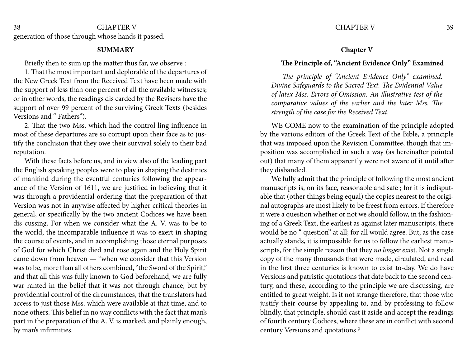# <span id="page-19-0"></span>38 CHAPTER V 39 generation of those through whose hands it passed.

#### **SUMMARY**

Briefly then to sum up the matter thus far, we observe :

1. That the most important and deplorable of the departures of the New Greek Text from the Received Text have been made with the support of less than one percent of all the available witnesses; or in other words, the readings dis carded by the Revisers have the support of over 99 percent of the surviving Greek Texts (besides Versions and " Fathers").

2. That the two Mss. which had the control ling influence in most of these departures are so corrupt upon their face as to justify the conclusion that they owe their survival solely to their bad reputation.

With these facts before us, and in view also of the leading part the English speaking peoples were to play in shaping the destinies of mankind during the eventful centuries following the appearance of the Version of 1611, we are justified in believing that it was through a providential ordering that the preparation of that Version was not in anywise affected by higher critical theories in general, or specifically by the two ancient Codices we have been dis cussing. For when we consider what the A. V. was to be to the world, the incomparable influence it was to exert in shaping the course of events, and in accomplishing those eternal purposes of God for which Christ died and rose again and the Holy Spirit came down from heaven — "when we consider that this Version was to be, more than all others combined, "the Sword of the Spirit," and that all this was fully known to God beforehand, we are fully war ranted in the belief that it was not through chance, but by providential control of the circumstances, that the translators had access to just those Mss. which were available at that time, and to none others. This belief in no way conflicts with the fact that man's part in the preparation of the A. V. is marked, and plainly enough, by man's infirmities.

# **Chapter V**

### **The Principle of, "Ancient Evidence Only" Examined**

*The principle of "Ancient Evidence Only" examined. Divine Safeguards to the Sacred Text. The Evidential Value of latex Mss. Errors of Omission. An illustrative test of the comparative values of the earlier and the later Mss. The strength of the case for the Received Text.* 

WE COME now to the examination of the principle adopted by the various editors of the Greek Text of the Bible, a principle that was imposed upon the Revision Committee, though that imposition was accomplished in such a way (as hereinafter pointed out) that many of them apparently were not aware of it until after they disbanded.

We fully admit that the principle of following the most ancient manuscripts is, on its face, reasonable and safe ; for it is indisputable that (other things being equal) the copies nearest to the original autographs are most likely to be freest from errors. If therefore it were a question whether or not we should follow, in the fashioning of a Greek Text, the earliest as against later manuscripts, there would be no " question" at all; for all would agree. But, as the case actually stands, it is impossible for us to follow the earliest manuscripts, for the simple reason that they *no longer exis*t. Not a single copy of the many thousands that were made, circulated, and read in the first three centuries is known to exist to-day. We do have Versions and patristic quotations that date back to the second century, and these, according to the principle we are discussing, are entitled to great weight. Is it not strange therefore, that those who justify their course by appealing to, and by professing to follow blindly, that principle, should cast it aside and accept the readings of fourth century Codices, where these are in conflict with second century Versions and quotations ?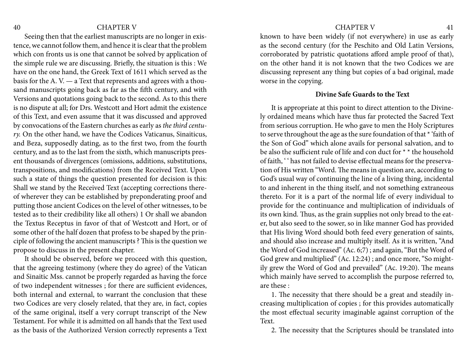Seeing then that the earliest manuscripts are no longer in existence, we cannot follow them, and hence it is clear that the problem which con fronts us is one that cannot be solved by application of the simple rule we are discussing. Briefly, the situation is this : We have on the one hand, the Greek Text of 1611 which served as the basis for the A. V. — a Text that represents and agrees with a thousand manuscripts going back as far as the fifth century, and with Versions and quotations going back to the second. As to this there is no dispute at all; for Drs. Westcott and Hort admit the existence of this Text, and even assume that it was discussed and approved by convocations of the Eastern churches as early as *the third century.* On the other hand, we have the Codices Vaticanus, Sinaiticus, and Beza, supposedly dating, as to the first two, from the fourth century, and as to the last from the sixth, which manuscripts present thousands of divergences (omissions, additions, substitutions, transpositions, and modifications) from the Received Text. Upon such a state of things the question presented for decision is this: Shall we stand by the Received Text (accepting corrections thereof wherever they can be established by preponderating proof and putting those ancient Codices on the level of other witnesses, to be tested as to their credibility like all others) 1 Or shall we abandon the Textus Receptus in favor of that of Westcott and Hort, or of some other of the half dozen that profess to be shaped by the principle of following the ancient manuscripts ? This is the question we propose to discuss in the present chapter.

It should be observed, before we proceed with this question, that the agreeing testimony (where they do agree) of the Vatican and Sinaitic Mss. cannot be properly regarded as having the force of two independent witnesses ; for there are sufficient evidences, both internal and external, to warrant the conclusion that these two Codices are very closely related, that they are, in fact, copies of the same original, itself a very corrupt transcript of the New Testament. For while it is admitted on all hands that the Text used as the basis of the Authorized Version correctly represents a Text

### <span id="page-20-0"></span>40 CHAPTER V 41

known to have been widely (if not everywhere) in use as early as the second century (for the Peschito and Old Latin Versions, corroborated by patristic quotations afford ample proof of that), on the other hand it is not known that the two Codices we are discussing represent any thing but copies of a bad original, made worse in the copying.

#### **Divine Safe Guards to the Text**

It is appropriate at this point to direct attention to the Divinely ordained means which have thus far protected the Sacred Text from serious corruption. He who gave to men the Holy Scriptures to serve throughout the age as the sure foundation of that \* 'faith of the Son of God" which alone avails for personal salvation, and to be also the sufficient rule of life and con duct for \* \* the household of faith, ' ' has not failed to devise effectual means for the preservation of His written "Word. The means in question are, according to God's usual way of continuing the line of a living thing, incidental to and inherent in the thing itself, and not something extraneous thereto. For it is a part of the normal life of every individual to provide for the continuance and multiplication of individuals of its own kind. Thus, as the grain supplies not only bread to the eater, but also seed to the sower, so in like manner God has provided that His living Word should both feed every generation of saints, and should also increase and multiply itself. As it is written, "And the Word of God increased" (Ac. 6;7) ; and again, "But the Word of God grew and multiplied" (Ac. 12:24) ; and once more, "So mightily grew the Word of God and prevailed" (Ac. 19:20). The means which mainly have served to accomplish the purpose referred to, are these :

1. The necessity that there should be a great and steadily increasing multiplication of copies ; for this provides automatically the most effectual security imaginable against corruption of the Text.

2. The necessity that the Scriptures should be translated into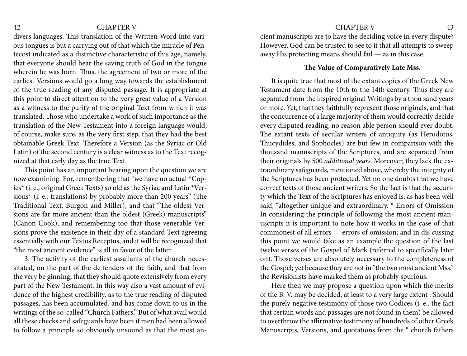divers languages. This translation of the Written Word into various tongues is but a carrying out of that which the miracle of Pentecost indicated as a distinctive characteristic of this age, namely, that everyone should hear the saving truth of God in the tongue wherein he was horn. Thus, the agreement of two or more of the earliest Versions would go a long way towards the establishment of the true reading of any disputed passage. It is appropriate at this point to direct attention to the very great value of a Version as a witness to the purity of the original Text from which it was translated. Those who undertake a work of such importance as the translation of the New Testament into a foreign language would, of course, make sure, as the very first step, that they had the best obtainable Greek Text. Therefore a Version (as the Syriac or Old Latin) of the second century is a clear witness as to the Text recognized at that early day as the true Text.

This point has an important bearing upon the question we are now examining. For, remembering that "we have no actual \*Copies\* (i. e., original Greek Texts) so old as the Syriac and Latin \*Versions\* (i. e., translations) by probably more than 200 years" (The Traditional Text, Burgon and Miller), and that "The oldest Versions are far more ancient than the oldest (Greek) manuscripts" (Canon Cook), and remembering too that those venerable Versions prove the existence in their day of a standard Text agreeing essentially with our Textus Receptus, and it will be recognized that "the most ancient evidence" is all in favor of the latter.

3. The activity of the earliest assailants of the church necessitated, on the part of the de fenders of the faith, and that from the very be ginning, that they should quote extensively from every part of the New Testament. In this way also a vast amount of evidence of the highest credibility, as to the true reading of disputed passages, has been accumulated, and has come down to us in the writings of the so-called "Church Fathers." But of what avail would all these checks and safeguards have been if men had been allowed to follow a principle so obviously unsound as that the most ancient manuscripts are to have the deciding voice in every dispute? However, God can be trusted to see to it that all attempts to sweep away His protecting means should fail — as in this case.

### **The Value of Comparatively Late Mss.**

It is quite true that most of the extant copies of the Greek New Testament date from the 10th to the 14th century. Thus they are separated from the inspired original Writings by a thou sand years or more. Yet, that they faithfully represent those originals, and that the concurrence of a large majority of them would correctly decide every disputed reading, no reason able person should ever doubt. The extant texts of secular writers of antiquity (as Herodotus, Thucydides, and Sophocles) are but few in comparison with the thousand manuscripts of the Scriptures, and are separated from their originals by 500 *additional years*. Moreover, they lack the extraordinary safeguards, mentioned above, whereby the integrity of the Scriptures has been protected. Yet no one doubts that we have correct texts of those ancient writers. So the fact is that the security which the Text of the Scriptures has enjoyed is, as has been well said, "altogether unique and extraordinary. \* Errors of Omission In considering the principle of following the most ancient manuscripts it is important to note how it works in the case of that commonest of all errors — errors of omission; and in dis cussing this point we would take as an example the question of the last twelve verses of the Gospel of Mark (referred to specifically later on). Those verses are absolutely necessary to the completeness of the Gospel; yet because they are not in "the two most ancient Mss." the Revisionists have marked them as probably spurious.

Here then we may propose a question upon which the merits of the B. V. may be decided, at least to a very large extent : Should the purely negative testimony of those two Codices (i. e., the fact that certain words and passages are not found in them) be allowed to overthrow the affirmative testimony of hundreds of other Greek Manuscripts, Versions, and quotations from the " church fathers

<span id="page-21-0"></span>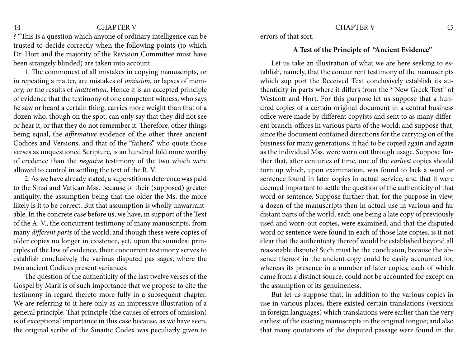? "This is a question which anyone of ordinary intelligence can be trusted to decide correctly when the following points (to which Dr. Hort and the majority of the Revision Committee must have been strangely blinded) are taken into account:

1. The commonest of all mistakes in copying manuscripts, or in repeating a matter, are mistakes of *omission*, or lapses of memory, or the results of *inattention*. Hence it is an accepted principle of evidence that the testimony of one competent witness, who says he saw or heard a certain thing, carries more weight than that of a dozen who, though on the spot, can only say that they did not see or hear it, or that they do not remember it. Therefore, other things being equal, the *affirmative* evidence of the other three ancient Codices and Versions, and that of the "fathers" who quote those verses as unquestioned Scripture, is an hundred fold more worthy of credence than the *negative* testimony of the two which were allowed to control in settling the text of the R. V.

2. As we have already stated, a superstitious deference was paid to the Sinai and Vatican Mss. because of their (supposed) greater antiquity, the assumption being that the older the Ms. the more likely is it to be correct. But that assumption is wholly unwarrantable. In the concrete case before us, we have, in support of the Text of the A. V., the concurrent testimony of many manuscripts, from many *different parts* of the world; and though these were copies of older copies no longer in existence, yet, upon the soundest principles of the law of evidence, their concurrent testimony serves to establish conclusively the various disputed pas sages, where the two ancient Codices present variances.

The question of the authenticity of the last twelve verses of the Gospel by Mark is of such importance that we propose to cite the testimony in regard thereto more fully in a subsequent chapter. We are referring to it here only as an impressive illustration of a general principle. That principle (the causes of errors of omission) is of exceptional importance in this case because, as we have seen, the original scribe of the Sinaitic Codex was peculiarly given to

errors of that sort.

# **A Test of the Principle of "Ancient Evidence"**

Let us take an illustration of what we are here seeking to establish, namely, that the concur rent testimony of the manuscripts which sup port the Received Text conclusively establish its authenticity in parts where it differs from the \*'New Greek Text" of Westcott and Hort. For this purpose let us suppose that a hundred copies of a certain original document in a central business office were made by different copyists and sent to as many different branch-offices in various parts of the world; and suppose that, since the document contained directions for the carrying on of the business for many generations, it had to be copied again and again as the individual Mss. were worn out through usage. Suppose further that, after centuries of time, one of the *earliest* copies should turn up which, upon examination, was found to lack a word or sentence found in later copies in actual service, and that it were deemed important to settle the question of the authenticity of that word or sentence. Suppose further that, for the purpose in view, a dozen of the manuscripts then in actual use in various and far distant parts of the world, each one being a late copy of previously used and worn-out copies, were examined, and that the disputed word or sentence were found in each of those late copies, is it not clear that the authenticity thereof would he established beyond all reasonable dispute? Such must be the conclusion, because the absence thereof in the ancient copy could be easily accounted for, whereas its presence in a number of later copies, each of which came from a distinct source, could not be accounted for except on the assumption of its genuineness.

But let us suppose that, in addition to the various copies in use in various places, there existed certain translations (versions in foreign languages) which translations were earlier than the very earliest of the existing manuscripts in the original tongue; and also that many quotations of the disputed passage were found in the

<span id="page-22-0"></span>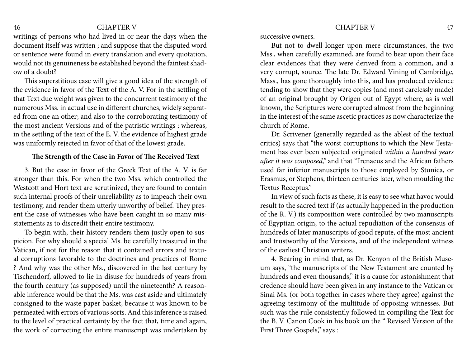writings of persons who had lived in or near the days when the document itself was written ; and suppose that the disputed word or sentence were found in every translation and every quotation, would not its genuineness be established beyond the faintest shadow of a doubt?

This superstitious case will give a good idea of the strength of the evidence in favor of the Text of the A. V. For in the settling of that Text due weight was given to the concurrent testimony of the numerous Mss. in actual use in different churches, widely separated from one an other; and also to the corroborating testimony of the most ancient Versions and of the patristic writings ; whereas, in the settling of the text of the E. V. the evidence of highest grade was uniformly rejected in favor of that of the lowest grade.

#### **The Strength of the Case in Favor of The Received Text**

3. But the case in favor of the Greek Text of the A. V. is far stronger than this. For when the two Mss. which controlled the Westcott and Hort text are scrutinized, they are found to contain such internal proofs of their unreliability as to impeach their own testimony, and render them utterly unworthy of belief. They present the case of witnesses who have been caught in so many misstatements as to discredit their entire testimony.

To begin with, their history renders them justly open to suspicion. For why should a special Ms. be carefully treasured in the Vatican, if not for the reason that it contained errors and textual corruptions favorable to the doctrines and practices of Rome ? And why was the other Ms., discovered in the last century by Tischendorf, allowed to lie in disuse for hundreds of years from the fourth century (as supposed) until the nineteenth? A reasonable inference would be that the Ms. was cast aside and ultimately consigned to the waste paper basket, because it was known to be permeated with errors of various sorts. And this inference is raised to the level of practical certainty by the fact that, time and again, the work of correcting the entire manuscript was undertaken by successive owners.

But not to dwell longer upon mere circumstances, the two Mss., when carefully examined, are found to bear upon their face clear evidences that they were derived from a common, and a very corrupt, source. The late Dr. Edward Vining of Cambridge, Mass., has gone thoroughly into this, and has produced evidence tending to show that they were copies (and most carelessly made) of an original brought by Origen out of Egypt where, as is well known, the Scriptures were corrupted almost from the beginning in the interest of the same ascetic practices as now characterize the church of Rome.

Dr. Scrivener (generally regarded as the ablest of the textual critics) says that "the worst corruptions to which the New Testament has ever been subjected originated *within a hundred years after it was composed,"* and that ''Irenaeus and the African fathers used far inferior manuscripts to those employed by Stunica, or Erasmus, or Stephens, thirteen centuries later, when moulding the Textus Receptus."

In view of such facts as these, it is easy to see what havoc would result to the sacred text if (as actually happened in the production of the R. V.) its composition were controlled by two manuscripts of Egyptian origin, to the actual repudiation of the consensus of hundreds of later manuscripts of good repute, of the most ancient and trustworthy of the Versions, and of the independent witness of the earliest Christian writers.

4. Bearing in mind that, as Dr. Kenyon of the British Museum says, "the manuscripts of the New Testament are counted by hundreds and even thousands," it is a cause for astonishment that credence should have been given in any instance to the Vatican or Sinai Ms. (or both together in cases where they agree) against the agreeing testimony of the multitude of opposing witnesses. But such was the rule consistently followed in compiling the Text for the B. V. Canon Cook in his book on the " Revised Version of the First Three Gospels," says :

<span id="page-23-0"></span>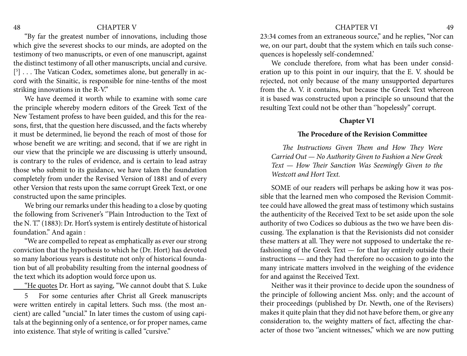"By far the greatest number of innovations, including those which give the severest shocks to our minds, are adopted on the testimony of two manuscripts, or even of one manuscript, against the distinct testimony of all other manuscripts, uncial and cursive. [5 ] . . . The Vatican Codex, sometimes alone, but generally in accord with the Sinaitic, is responsible for nine-tenths of the most striking innovations in the R-V."

We have deemed it worth while to examine with some care the principle whereby modern editors of the Greek Text of the New Testament profess to have been guided, and this for the reasons, first, that the question here discussed, and the facts whereby it must be determined, lie beyond the reach of most of those for whose benefit we are writing; and second, that if we are right in our view that the principle we are discussing is utterly unsound, is contrary to the rules of evidence, and is certain to lead astray those who submit to its guidance, we have taken the foundation completely from under the Revised Version of 1881 and of every other Version that rests upon the same corrupt Greek Text, or one constructed upon the same principles.

We bring our remarks under this heading to a close by quoting the following from Scrivener's ''Plain Introduction to the Text of the N. T." (1883): Dr. Hort's system is entirely destitute of historical foundation." And again :

"We are compelled to repeat as emphatically as ever our strong conviction that the hypothesis to which he (Dr. Hort) has devoted so many laborious years is destitute not only of historical foundation but of all probability resulting from the internal goodness of the text which its adoption would force upon us.

"He quotes Dr. Hort as saying, "We cannot doubt that S. Luke 5 For some centuries after Christ all Greek manuscripts were written entirely in capital letters. Such mss. (the most ancient) are called "uncial." In later times the custom of using capitals at the beginning only of a sentence, or for proper names, came into existence. That style of writing is called "cursive."

23:34 comes from an extraneous source," and he replies, "Nor can we, on our part, doubt that the system which en tails such consequences is hopelessly self-condemned.'

We conclude therefore, from what has been under consideration up to this point in our inquiry, that the E. V. should be rejected, not only because of the many unsupported departures from the A. V. it contains, but because the Greek Text whereon it is based was constructed upon a principle so unsound that the resulting Text could not be other than ''hopelessly" corrupt.

### **Chapter VI**

#### **The Procedure of the Revision Committee**

*The Instructions Given Them and How They Were Carried Out — No Authority Given to Fashion a New Greek Text — How Their Sanction Was Seemingly Given to the Westcott and Hort Text.* 

SOME of our readers will perhaps be asking how it was possible that the learned men who composed the Revision Committee could have allowed the great mass of testimony which sustains the authenticity of the Received Text to be set aside upon the sole authority of two Codices so dubious as the two we have been discussing. The explanation is that the Revisionists did not consider these matters at all. They were not supposed to undertake the refashioning of the Greek Text — for that lay entirely outside their instructions — and they had therefore no occasion to go into the many intricate matters involved in the weighing of the evidence for and against the Received Text.

Neither was it their province to decide upon the soundness of the principle of following ancient Mss. only; and the account of their proceedings (published by Dr. Newth, one of the Revisers) makes it quite plain that they did not have before them, or give any consideration to, the weighty matters of fact, affecting the character of those two "ancient witnesses," which we are now putting

<span id="page-24-0"></span>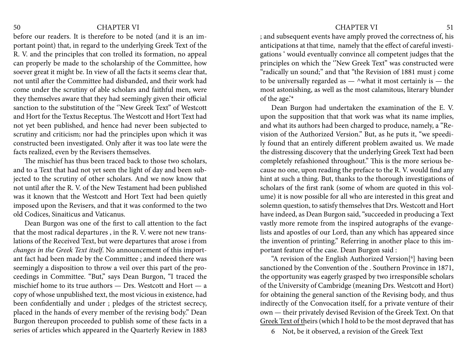before our readers. It is therefore to be noted (and it is an important point) that, in regard to the underlying Greek Text of the R. V. and the principles that con trolled its formation, no appeal can properly be made to the scholarship of the Committee, how soever great it might be. In view of all the facts it seems clear that, not until after the Committee had disbanded, and their work had come under the scrutiny of able scholars and faithful men, were they themselves aware that they had seemingly given their official sanction to the substitution of the ''New Greek Text" of Westcott and Hort for the Textus Receptus. The Westcott and Hort Text had not yet been published, and hence had never been subjected to scrutiny and criticism; nor had the principles upon which it was constructed been investigated. Only after it was too late were the facts realized, even by the Revisers themselves.

The mischief has thus been traced back to those two scholars, and to a Text that had not yet seen the light of day and been subjected to the scrutiny of other scholars. And we now know that not until after the R. V. of the New Testament had been published was it known that the Westcott and Hort Text had been quietly imposed upon the Revisers, and that it was conformed to the two old Codices, Sinaiticus and Vaticanus.

Dean Burgon was one of the first to call attention to the fact that the most radical departures , in the R. V. were not new translations of the Received Text, but were departures that arose i from *changes in the Greek Text itself*. No announcement of this important fact had been made by the Committee ; and indeed there was seemingly a disposition to throw a veil over this part of the proceedings in Committee. "But," says Dean Burgon, "I traced the mischief home to its true authors — Drs. Westcott and Hort — a copy of whose unpublished text, the most vicious in existence, had been confidentially and under ; pledges of the strictest secrecy, placed in the hands of every member of the revising body." Dean Burgon thereupon proceeded to publish some of these facts in a series of articles which appeared in the Quarterly Review in 1883

; and subsequent events have amply proved the correctness of, his anticipations at that time, namely that the effect of careful investigations ' would eventually convince all competent judges that the principles on which the ''New Greek Text" was constructed were "radically un sound;" and that "the Revision of 1881 must j come to be universally regarded as  $\wedge$ what it most certainly is  $-$  the most astonishing, as well as the most calamitous, literary blunder of the age.'\*

Dean Burgon had undertaken the examination of the E. V. upon the supposition that that work was what its name implies, and what its authors had been charged to produce, namely, a "Revision of the Authorized Version." But, as he puts it, "we speedily found that an entirely different problem awaited us. We made the distressing discovery that the underlying Greek Text had been completely refashioned throughout." This is the more serious because no one, upon reading the preface to the R. V. would find any hint at such a thing. But, thanks to the thorough investigations of scholars of the first rank (some of whom are quoted in this volume) it is now possible for all who are interested in this great and solemn question, to satisfy themselves that Drs. Westcott and Hort have indeed, as Dean Burgon said, "succeeded in producing a Text vastly more remote from the inspired autographs of the evangelists and apostles of our Lord, than any which has appeared since the invention of printing." Referring in another place to this important feature of the case. Dean Burgon said :

"A revision of the English Authorized Version[6 ] having been sanctioned by the Convention of the . Southern Province in 1871, the opportunity was eagerly grasped by two irresponsible scholars of the University of Cambridge (meaning Drs. Westcott and Hort) for obtaining the general sanction of the Revising body, and thus indirectly of the Convocation itself, for a private venture of their own — their privately devised Revision of the Greek Text. On that Greek Text of theirs (which I hold to be the most depraved that has

6 Not, be it observed, a revision of the Greek Text

<span id="page-25-0"></span>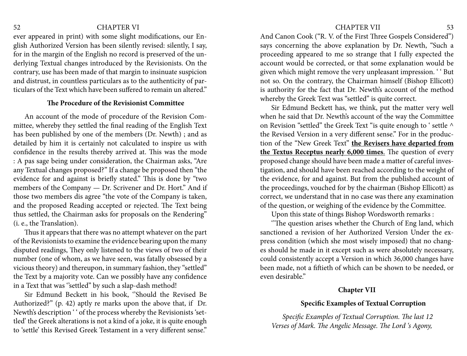ever appeared in print) with some slight modifications, our English Authorized Version has been silently revised: silently, I say, for in the margin of the English no record is preserved of the underlying Textual changes introduced by the Revisionists. On the contrary, use has been made of that margin to insinuate suspicion and distrust, in countless particulars as to the authenticity of particulars of the Text which have been suffered to remain un altered."

### **The Procedure of the Revisionist Committee**

An account of the mode of procedure of the Revision Committee, whereby they settled the final reading of the English Text has been published by one of the members (Dr. Newth) ; and as detailed by him it is certainly not calculated to inspire us with confidence in the results thereby arrived at. This was the mode : A pas sage being under consideration, the Chairman asks, "Are any Textual changes proposed?" If a change be proposed then "the evidence for and against is briefly stated." This is done by "two members of the Company — Dr. Scrivener and Dr. Hort." And if those two members dis agree "the vote of the Company is taken, and the proposed Reading accepted or rejected. The Text being thus settled, the Chairman asks for proposals on the Rendering" (i. e., the Translation).

Thus it appears that there was no attempt whatever on the part of the Revisionists to examine the evidence bearing upon the many disputed readings, They only listened to the views of two of their number (one of whom, as we have seen, was fatally obsessed by a vicious theory) and thereupon, in summary fashion, they "settled" the Text by a majority vote. Can we possibly have any confidence in a Text that was "settled" by such a slap-dash method!

Sir Edmund Beckett in his book, ''Should the Revised Be Authorized?" (p. 42) aptly re marks upon the above that, if Dr. Newth's description " of the process whereby the Revisionists 'settled' the Greek alterations is not a kind of a joke, it is quite enough to 'settle' this Revised Greek Testament in a very different sense."

### <span id="page-26-0"></span>52 CHAPTER VI CHAPTER VI

And Canon Cook ("R. V. of the First Three Gospels Considered") says concerning the above explanation by Dr. Newth, "Such a proceeding appeared to me so strange that I fully expected the account would be corrected, or that some explanation would be given which might remove the very unpleasant impression. ' ' But not so. On the contrary, the Chairman himself (Bishop Ellicott) is authority for the fact that Dr. Newth's account of the method whereby the Greek Text was "settled" is quite correct.

Sir Edmund Beckett has, we think, put the matter very well when he said that Dr. Newth's account of the way the Committee on Revision "settled" the Greek Text "is quite enough to ' settle ^ the Revised Version in a very different sense." For in the production of the "New Greek Text" **the Revisers have departed from the Textus Receptus nearly 6,000 times**. The question of every proposed change should have been made a matter of careful investigation, and should have been reached according to the weight of the evidence, for and against. But from the published account of the proceedings, vouched for by the chairman (Bishop Ellicott) as correct, we understand that in no case was there any examination of the question, or weighing of the evidence by the Committee.

Upon this state of things Bishop Wordsworth remarks :

''The question arises whether the Church of Eng land, which sanctioned a revision of her Authorized Version Under the express condition (which she most wisely imposed) that no changes should he made in it except such as were absolutely necessary, could consistently accept a Version in which 36,000 changes have been made, not a fiftieth of which can be shown to be needed, or even desirable."

### **Chapter VII**

### **Specific Examples of Textual Corruption**

*Specific Examples of Textual Corruption. The last 12 Verses of Mark. The Angelic Message. The Lord 's Agony,*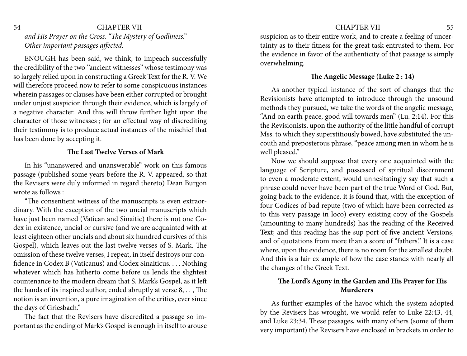# <span id="page-27-0"></span>54 CHAPTER VII 55

*and His Prayer on the Cross. "The Mystery of Godliness." Other important passages affected.* 

ENOUGH has been said, we think, to impeach successfully the credibility of the two "ancient witnesses" whose testimony was so largely relied upon in constructing a Greek Text for the R. V. We will therefore proceed now to refer to some conspicuous instances wherein passages or clauses have been either corrupted or brought under unjust suspicion through their evidence, which is largely of a negative character. And this will throw further light upon the character of those witnesses ; for an effectual way of discrediting their testimony is to produce actual instances of the mischief that has been done by accepting it.

### **The Last Twelve Verses of Mark**

In his "unanswered and unanswerable" work on this famous passage (published some years before the R. V. appeared, so that the Revisers were duly informed in regard thereto) Dean Burgon wrote as follows :

"The consentient witness of the manuscripts is even extraordinary. With the exception of the two uncial manuscripts which have just been named (Vatican and Sinaitic) there is not one Codex in existence, uncial or cursive (and we are acquainted with at least eighteen other uncials and about six hundred cursives of this Gospel), which leaves out the last twelve verses of S. Mark. The omission of these twelve verses, I repeat, in itself destroys our confidence in Codex B (Vaticanus) and Codex Sinaiticus. . . . Nothing whatever which has hitherto come before us lends the slightest countenance to the modern dream that S. Mark's Gospel, as it left the hands of its inspired author, ended abruptly at verse 8, . . , The notion is an invention, a pure imagination of the critics, ever since the days of Griesbach."

The fact that the Revisers have discredited a passage so important as the ending of Mark's Gospel is enough in itself to arouse

suspicion as to their entire work, and to create a feeling of uncertainty as to their fitness for the great task entrusted to them. For the evidence in favor of the authenticity of that passage is simply overwhelming.

### **The Angelic Message (Luke 2 : 14)**

As another typical instance of the sort of changes that the Revisionists have attempted to introduce through the unsound methods they pursued, we take the words of the angelic message, "And on earth peace, good will towards men" (Lu. 2:14). For this the Revisionists, upon the authority of the little handful of corrupt Mss. to which they superstitiously bowed, have substituted the uncouth and preposterous phrase, "peace among men in whom he is well pleased."

Now we should suppose that every one acquainted with the language of Scripture, and possessed of spiritual discernment to even a moderate extent, would unhesitatingly say that such a phrase could never have been part of the true Word of God. But, going back to the evidence, it is found that, with the exception of four Codices of bad repute (two of which have been corrected as to this very passage in loco) every existing copy of the Gospels (amounting to many hundreds) has the reading of the Received Text; and this reading has the sup port of five ancient Versions, and of quotations from more than a score of "fathers." It is a case where, upon the evidence, there is no room for the smallest doubt. And this is a fair ex ample of how the case stands with nearly all the changes of the Greek Text.

## **The Lord's Agony in the Garden and His Prayer for His Murderers**

As further examples of the havoc which the system adopted by the Revisers has wrought, we would refer to Luke 22:43, 44, and Luke 23:34. These passages, with many others (some of them very important) the Revisers have enclosed in brackets in order to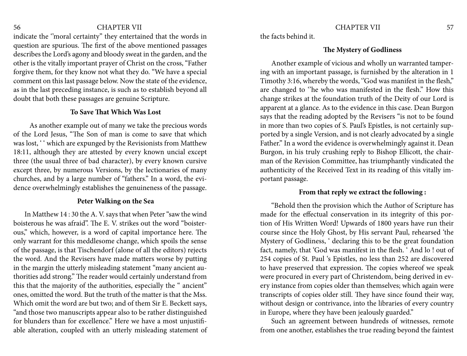indicate the ''moral certainty" they entertained that the words in question are spurious. The first of the above mentioned passages describes the Lord's agony and bloody sweat in the garden, and the other is the vitally important prayer of Christ on the cross, "Father forgive them, for they know not what they do. "We have a special comment on this last passage below. Now the state of the evidence, as in the last preceding instance, is such as to establish beyond all doubt that both these passages are genuine Scripture.

### **To Save That Which Was Lost**

 As another example out of many we take the precious words of the Lord Jesus, "The Son of man is come to save that which was lost, ' ' which are expunged by the Revisionists from Matthew 18:11, although they are attested by every known uncial except three (the usual three of bad character), by every known cursive except three, by numerous Versions, by the lectionaries of many churches, and by a large number of "fathers." In a word, the evidence overwhelmingly establishes the genuineness of the passage.

#### **Peter Walking on the Sea**

In Matthew 14 : 30 the A. V. says that when Peter "saw the wind boisterous he was afraid". The E. V. strikes out the word "boisterous," which, however, is a word of capital importance here. The only warrant for this meddlesome change, which spoils the sense of the passage, is that Tischendorf (alone of all the editors) rejects the word. And the Revisers have made matters worse by putting in the margin the utterly misleading statement "many ancient authorities add strong." The reader would certainly understand from this that the majority of the authorities, especially the " ancient" ones, omitted the word. But the truth of the matter is that the Mss. Which omit the word are but two; and of them Sir E. Beckett says, "and those two manuscripts appear also to be rather distinguished for blunders than for excellence." Here we have a most unjustifiable alteration, coupled with an utterly misleading statement of the facts behind it.

### **The Mystery of Godliness**

Another example of vicious and wholly un warranted tampering with an important passage, is furnished by the alteration in 1 Timothy 3:16, whereby the words, 'God was manifest in the flesh," are changed to ''he who was manifested in the flesh." How this change strikes at the foundation truth of the Deity of our Lord is apparent at a glance. As to the evidence in this case. Dean Burgon says that the reading adopted by the Revisers "is not to be found in more than two copies of S. Paul's Epistles, is not certainly supported by a single Version, and is not clearly advocated by a single Father." In a word the evidence is overwhelmingly against it. Dean Burgon, in his truly crushing reply to Bishop Ellicott, the chairman of the Revision Committee, has triumphantly vindicated the authenticity of the Received Text in its reading of this vitally important passage.

#### **From that reply we extract the following :**

"Behold then the provision which the Author of Scripture has made for the effectual conservation in its integrity of this portion of His Written Word! Upwards of 1800 years have run their course since the Holy Ghost, by His servant Paul, rehearsed 'the Mystery of Godliness, ' declaring this to be the great foundation fact, namely, that 'God was manifest in the flesh. ' And lo ! out of 254 copies of St. Paul 's Epistles, no less than 252 are discovered to have preserved that expression. The copies whereof we speak were procured in every part of Christendom, being derived in every instance from copies older than themselves; which again were transcripts of copies older still. They have since found their way, without design or contrivance, into the libraries of every country in Europe, where they have been jealously guarded."

Such an agreement between hundreds of witnesses, remote from one another, establishes the true reading beyond the faintest

<span id="page-28-0"></span>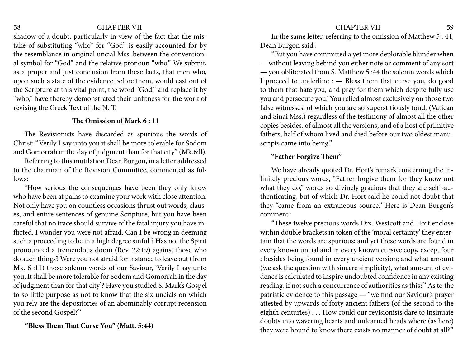shadow of a doubt, particularly in view of the fact that the mistake of substituting "who" for "God" is easily accounted for by the resemblance in original uncial Mss. between the conventional symbol for "God" and the relative pronoun "who." We submit, as a proper and just conclusion from these facts, that men who, upon such a state of the evidence before them, would cast out of the Scripture at this vital point, the word "God," and replace it by "who," have thereby demonstrated their unfitness for the work of revising the Greek Text of the N. T.

### **The Omission of Mark 6 : 11**

The Revisionists have discarded as spurious the words of Christ: ''Verily I say unto you it shall be more tolerable for Sodom and Gomorrah in the day of judgment than for that city" (Mk.6:ll).

Referring to this mutilation Dean Burgon, in a letter addressed to the chairman of the Revision Committee, commented as follows:

"How serious the consequences have been they only know who have been at pains to examine your work with close attention. Not only have you on countless occasions thrust out words, clauses, and entire sentences of genuine Scripture, but you have been careful that no trace should survive of the fatal injury you have inflicted. I wonder you were not afraid. Can I be wrong in deeming such a proceeding to be in a high degree sinful ? Has not the Spirit pronounced a tremendous doom (Rev. 22:19) against those who do such things? Were you not afraid for instance to leave out (from Mk. 6 :11) those solemn words of our Saviour, 'Verily I say unto you, It shall be more tolerable for Sodom and Gomorrah in the day of judgment than for that city'? Have you studied S. Mark's Gospel to so little purpose as not to know that the six uncials on which you rely are the depositories of an abominably corrupt recension of the second Gospel?"

**''Bless Them That Curse You'' (Matt. 5:44)** 

In the same letter, referring to the omission of Matthew 5 : 44, Dean Burgon said :

''But you have committed a yet more deplorable blunder when — without leaving behind you either note or comment of any sort — you obliterated from S. Matthew 5 :44 the solemn words which I proceed to underline : — Bless them that curse you, do good to them that hate you, and pray for them which despite fully use you and persecute you.' You relied almost exclusively on those two false witnesses, of which you are so superstitiously fond. (Vatican and Sinai Mss.) regardless of the testimony of almost all the other copies besides, of almost all the versions, and of a host of primitive fathers, half of whom lived and died before our two oldest manuscripts came into being."

### **"Father Forgive Them"**

We have already quoted Dr. Hort's remark concerning the infinitely precious words, "Father forgive them for they know not what they do," words so divinely gracious that they are self-authenticating, but of which Dr. Hort said he could not doubt that they "came from an extraneous source." Here is Dean Burgon's comment :

"These twelve precious words Drs. Westcott and Hort enclose within double brackets in token of the 'moral certainty' they entertain that the words are spurious; and yet these words are found in every known uncial and in every known cursive copy, except four ; besides being found in every ancient version; and what amount (we ask the question with sincere simplicity), what amount of evidence is calculated to inspire undoubted confidence in any existing reading, if not such a concurrence of authorities as this?" As to the patristic evidence to this passage — "we find our Saviour's prayer attested by upwards of forty ancient fathers (of the second to the eighth centuries) . . . How could our revisionists dare to insinuate doubts into wavering hearts and unlearned heads where (as here) they were hound to know there exists no manner of doubt at all?"

<span id="page-29-0"></span>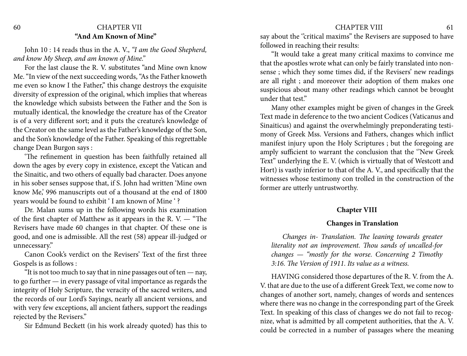# <span id="page-30-0"></span>60 CHAPTER VII CHAPTER VII 61 **"And Am Known of Mine"**

John 10 : 14 reads thus in the A. V., *"I am the Good Shepherd, and know My Sheep, and am known of Mine."* 

For the last clause the R. V. substitutes "and Mine own know Me. "In view of the next succeeding words, "As the Father knoweth me even so know I the Father," this change destroys the exquisite diversity of expression of the original, which implies that whereas the knowledge which subsists between the Father and the Son is mutually identical, the knowledge the creature has of the Creator is of a very different sort; and it puts the creature's knowledge of the Creator on the same level as the Father's knowledge of the Son, and the Son's knowledge of the Father. Speaking of this regrettable change Dean Burgon says :

'The refinement in question has been faithfully retained all down the ages by every copy in existence, except the Vatican and the Sinaitic, and two others of equally bad character. Does anyone in his sober senses suppose that, if S. John had written 'Mine own know Me,' 996 manuscripts out of a thousand at the end of 1800 years would be found to exhibit ' I am known of Mine ' ?

Dr. Malan sums up in the following words his examination of the first chapter of Matthew as it appears in the R. V. — "The Revisers have made 60 changes in that chapter. Of these one is good, and one is admissible. All the rest (58) appear ill-judged or unnecessary."

Canon Cook's verdict on the Revisers' Text of the first three Gospels is as follows :

"It is not too much to say that in nine passages out of ten  $-$  nay, to go further — in every passage of vital importance as regards the integrity of Holy Scripture, the veracity of the sacred writers, and the records of our Lord's Sayings, nearly all ancient versions, and with very few exceptions, all ancient fathers, support the readings rejected by the Revisers."

Sir Edmund Beckett (in his work already quoted) has this to

say about the "critical maxims" the Revisers are supposed to have followed in reaching their results:

"It would take a great many critical maxims to convince me that the apostles wrote what can only be fairly translated into nonsense ; which they some times did, if the Revisers' new readings are all right ; and moreover their adoption of them makes one suspicious about many other readings which cannot be brought under that test."

Many other examples might be given of changes in the Greek Text made in deference to the two ancient Codices (Vaticanus and Sinaiticus) and against the overwhelmingly preponderating testimony of Greek Mss. Versions and Fathers, changes which inflict manifest injury upon the Holy Scriptures ; but the foregoing are amply sufficient to warrant the conclusion that the ''New Greek Text" underlying the E. V. (which is virtually that of Westcott and Hort) is vastly inferior to that of the A. V., and specifically that the witnesses whose testimony con trolled in the construction of the former are utterly untrustworthy.

## **Chapter VIII**

## **Changes in Translation**

*Changes in- Translation. The leaning towards greater literality not an improvement. Thou sands of uncalled-for changes — "mostly for the worse. Concerning 2 Timothy 3:16. The Version of 1911. Its value as a witness.* 

HAVING considered those departures of the R. V. from the A. V. that are due to the use of a different Greek Text, we come now to changes of another sort, namely, changes of words and sentences where there was no change in the corresponding part of the Greek Text. In speaking of this class of changes we do not fail to recognize, what is admitted by all competent authorities, that the A. V. could be corrected in a number of passages where the meaning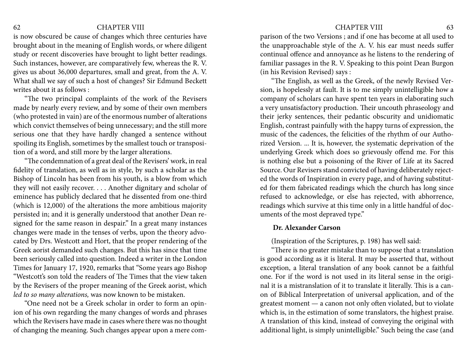### <span id="page-31-0"></span>62 CHAPTER VIII 63

is now obscured be cause of changes which three centuries have brought about in the meaning of English words, or where diligent study or recent discoveries have brought to light better readings. Such instances, however, are comparatively few, whereas the R. V. gives us about 36,000 departures, small and great, from the A. V. What shall we say of such a host of changes? Sir Edmund Beckett writes about it as follows :

"The two principal complaints of the work of the Revisers made by nearly every review, and by some of their own members (who protested in vain) are of the enormous number of alterations which convict themselves of being unnecessary; and the still more serious one that they have hardly changed a sentence without spoiling its English, sometimes by the smallest touch or transposition of a word, and still more by the larger alterations.

"The condemnation of a great deal of the Revisers' work, in real fidelity of translation, as well as in style, by such a scholar as the Bishop of Lincoln has been from his youth, is a blow from which they will not easily recover. . . . Another dignitary and scholar of eminence has publicly declared that he dissented from one-third (which is 12,000) of the alterations the more ambitious majority persisted in; and it is generally understood that another Dean resigned for the same reason in despair." In a great many instances changes were made in the tenses of verbs, upon the theory advocated by Drs. Westcott and Hort, that the proper rendering of the Greek aorist demanded such changes. But this has since that time been seriously called into question. Indeed a writer in the London Times for January 17, 1920, remarks that "Some years ago Bishop "Westcott's son told the readers of The Times that the view taken by the Revisers of the proper meaning of the Greek aorist, which *led to so many alterations,* was now known to be mistaken.

"One need not be a Greek scholar in order to form an opinion of his own regarding the many changes of words and phrases which the Revisers have made in cases where there was no thought of changing the meaning. Such changes appear upon a mere comparison of the two Versions ; and if one has become at all used to the unapproachable style of the A. V. his ear must needs suffer continual offence and annoyance as he listens to the rendering of familiar passages in the R. V. Speaking to this point Dean Burgon (in his Revision Revised) says :

"The English, as well as the Greek, of the newly Revised Version, is hopelessly at fault. It is to me simply unintelligible how a company of scholars can have spent ten years in elaborating such a very unsatisfactory production. Their uncouth phraseology and their jerky sentences, their pedantic obscurity and unidiomatic English, contrast painfully with the happy turns of expression, the music of the cadences, the felicities of the rhythm of our Authorized Version. ... It is, however, the systematic deprivation of the underlying Greek which does so grievously offend me. For this is nothing else but a poisoning of the River of Life at its Sacred Source. Our Revisers stand convicted of having deliberately rejected the words of Inspiration in every page, and of having substituted for them fabricated readings which the church has long since refused to acknowledge, or else has rejected, with abhorrence, readings which survive at this time only in a little handful of documents of the most depraved type."

#### **Dr. Alexander Carson**

(Inspiration of the Scriptures, p. 198) has well said:

"There is no greater mistake than to suppose that a translation is good according as it is literal. It may be asserted that, without exception, a literal translation of any book cannot be a faithful one. For if the word is not used in its literal sense in the original it is a mistranslation of it to translate it literally. This is a canon of Biblical Interpretation of universal application, and of the greatest moment — a canon not only often violated, but to violate which is, in the estimation of some translators, the highest praise. A translation of this kind, instead of conveying the original with additional light, is simply unintelligible." Such being the case (and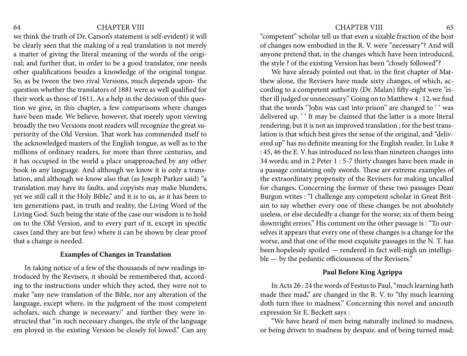### <span id="page-32-0"></span>64 CHAPTER VIII CHAPTER VIII 65

we think the truth of Dr. Carson's statement is self-evident) it will be clearly seen that the making of a real translation is not merely a matter of giving the literal meaning of the words of the original; and further that, in order to be a good translator, one needs other qualifications besides a knowledge of the original tongue. So, as be tween the two rival Versions, much depends upon- the question whether the translators of 1881 were as well qualified for their work as those of 1611, As a help in the decision of this question we give, in this chapter, a few comparisons where changes have been made. We believe, however, that merely upon viewing broadly the two Versions most readers will recognize the great superiority of the Old Version. That work has commended itself to the acknowledged masters of the English tongue, as well as to the millions of ordinary readers, for more than three centuries, and it has occupied in the world a place unapproached by any other book in any language. And although we know it is only a translation, and although we know also that (as Joseph Parker said) "a translation may have its faults, and copyists may make blunders, yet we still call it the Holy Bible," and it is to us, as it has been to ten generations past, in truth and reality, the Living Word of the Living God. Such being the state of the case our wisdom is to hold on to the Old Version, and to every part of it, except in specific cases (and they are but few) where it can be shown by clear proof that a change is needed.

### **Examples of Changes in Translation**

In taking notice of a few of the thousands of new readings introduced by the Revisers, it should be remembered that, according to the instructions under which they acted, they were not to make "any new translation of the Bible, nor any alteration of the language, except where, in the judgment of the most competent scholars, such change is necessary/' and further they were instructed that "in such necessary changes, the style of the language em ployed in the existing Version be closely fol lowed." Can any "competent" scholar tell us that even a sizable fraction of the host of changes now embodied in the R. V. were "necessary"? And will anyone pretend that, in the changes which have been introduced, the style ? of the existing Version has been "closely followed''?

We have already pointed out that, in the first chapter of Matthew alone, the Revisers have made sixty changes, of which, according to a competent authority (Dr. Malan) fifty-eight were "either ill judged or unnecessary." Going on to Matthew 4 : 12, we find that the words ''John was cast into prison" are changed to ' ' was delivered up. "It may be claimed that the latter is a more literal rendering; but it is not an improved translation ; for the best translation is that which best gives the sense of the original, and "delivered up" has no definite meaning for the English reader. In Luke 8 : 45, 46 the E. V. has introduced no less than nineteen changes into 34 words; and in 2 Peter 1 : 5-7 thirty changes have been made in a passage containing only swords. These are extreme examples of the extraordinary propensity of the Revisers for making uncalled for changes. Concerning the former of these two passages Dean Burgon writes : "I challenge any competent scholar in Great Britain to say whether every one of these changes be not absolutely useless, or else decidedly a change for the worse; six of them being downright errors." His comment on the other passage is : "To ourselves it appears that every one of these changes is a change for the worse, and that one of the most exquisite passages in the N. T. has been hopelessly spoiled — rendered in fact well-nigh un intelligible — by the pedantic officiousness of the Revisers."

### **Paul Before King Agrippa**

In Acts 26 : 24 the words of Festus to Paul, "much learning hath made thee mad," are changed in the R. V. to "thy much learning doth turn thee to madness." Concerning this novel and uncouth expression Sir E. Beckett says :

"We have heard of men being naturally inclined to madness, or being driven to madness by despair, and of being turned mad;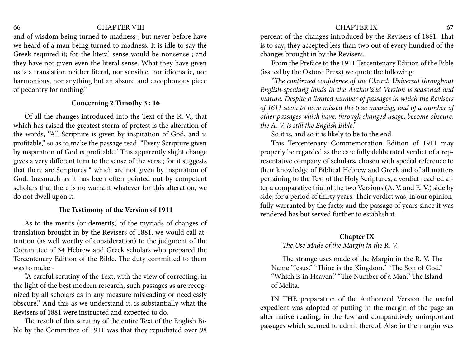### <span id="page-33-0"></span>66 CHAPTER VIII CHAPTER VIII CHAPTER IX CHAPTER IX

and of wisdom being turned to madness ; but never before have we heard of a man being turned to madness. It is idle to say the Greek required it; for the literal sense would be nonsense ; and they have not given even the literal sense. What they have given us is a translation neither literal, nor sensible, nor idiomatic, nor harmonious, nor anything but an absurd and cacophonous piece of pedantry for nothing."

#### **Concerning 2 Timothy 3 : 16**

Of all the changes introduced into the Text of the R. V., that which has raised the greatest storm of protest is the alteration of the words, "All Scripture is given by inspiration of God, and is profitable," so as to make the passage read, "Every Scripture given by inspiration of God is profitable." This apparently slight change gives a very different turn to the sense of the verse; for it suggests that there are Scriptures " which are not given by inspiration of God. Inasmuch as it has been often pointed out by competent scholars that there is no warrant whatever for this alteration, we do not dwell upon it.

#### **The Testimony of the Version of 1911**

As to the merits (or demerits) of the myriads of changes of translation brought in by the Revisers of 1881, we would call attention (as well worthy of consideration) to the judgment of the Committee of 34 Hebrew and Greek scholars who prepared the Tercentenary Edition of the Bible. The duty committed to them was to make -

"A careful scrutiny of the Text, with the view of correcting, in the light of the best modern research, such passages as are recognized by all scholars as in any measure misleading or needlessly obscure." And this as we understand it, is substantially what the Revisers of 1881 were instructed and expected to do.

The result of this scrutiny of the entire Text of the English Bible by the Committee of 1911 was that they repudiated over 98 percent of the changes introduced by the Revisers of 1881. That is to say, they accepted less than two out of every hundred of the changes brought in by the Revisers.

From the Preface to the 1911 Tercentenary Edition of the Bible (issued by the Oxford Press) we quote the following:

*"The continued confidence of the Church Universal throughout English-speaking lands in the Authorized Version is seasoned and mature. Despite a limited number of passages in which the Revisers of 1611 seem to have missed the true meaning, and of a number of other passages which have, through changed usage, become obscure, the A. V. is still the English Bible."* 

So it is, and so it is likely to be to the end.

This Tercentenary Commemoration Edition of 1911 may properly be regarded as the care fully deliberated verdict of a representative company of scholars, chosen with special reference to their knowledge of Biblical Hebrew and Greek and of all matters pertaining to the Text of the Holy Scriptures, a verdict reached after a comparative trial of the two Versions (A. V. and E. V.) side by side, for a period of thirty years. Their verdict was, in our opinion, fully warranted by the facts; and the passage of years since it was rendered has but served further to establish it.

#### **Chapter IX**

### *The Use Made of the Margin in the R. V.*

The strange uses made of the Margin in the R. V. The Name "Jesus." "Thine is the Kingdom." "The Son of God." "Which is in Heaven." "The Number of a Man." The Island of Melita.

IN THE preparation of the Authorized Version the useful expedient was adopted of putting in the margin of the page an alter native reading, in the few and comparatively unimportant passages which seemed to admit thereof. Also in the margin was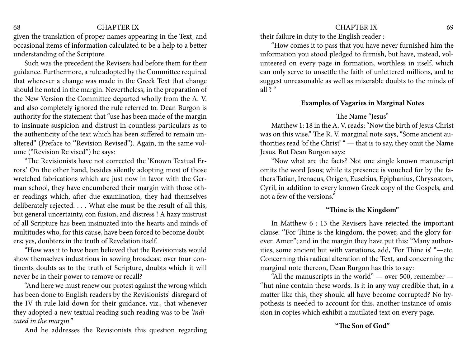### <span id="page-34-0"></span>68 CHAPTER IX 69

given the translation of proper names appearing in the Text, and occasional items of information calculated to be a help to a better understanding of the Scripture.

Such was the precedent the Revisers had before them for their guidance. Furthermore, a rule adopted by the Committee required that wherever a change was made in the Greek Text that change should he noted in the margin. Nevertheless, in the preparation of the New Version the Committee departed wholly from the A. V. and also completely ignored the rule referred to. Dean Burgon is authority for the statement that "use has been made of the margin to insinuate suspicion and distrust in countless particulars as to the authenticity of the text which has been suffered to remain unaltered" (Preface to "Revision Revised"). Again, in the same volume ("Revision Re vised") he says:

"The Revisionists have not corrected the 'Known Textual Errors.' On the other hand, besides silently adopting most of those wretched fabrications which are just now in favor with the German school, they have encumbered their margin with those other readings which, after due examination, they had themselves deliberately rejected. . . . What else must be the result of all this, but general uncertainty, con fusion, and distress ! A hazy mistrust of all Scripture has been insinuated into the hearts and minds of multitudes who, for this cause, have been forced to become doubters; yes, doubters in the truth of Revelation itself.

"How was it to have been believed that the Revisionists would show themselves industrious in sowing broadcast over four continents doubts as to the truth of Scripture, doubts which it will never be in their power to remove or recall?

"And here we must renew our protest against the wrong which has been done to English readers by the Revisionists' disregard of the IV th rule laid down for their guidance, viz., that whenever they adopted a new textual reading such reading was to be *'indicated in the margin."*

And he addresses the Revisionists this question regarding

their failure in duty to the English reader :

"How comes it to pass that you have never furnished him the information you stood pledged to furnish, but have, instead, volunteered on every page in formation, worthless in itself, which can only serve to unsettle the faith of unlettered millions, and to suggest unreasonable as well as miserable doubts to the minds of all ? "

### **Examples of Vagaries in Marginal Notes**

### The Name "Jesus"

Matthew 1: 18 in the A. V. reads: "Now the birth of Jesus Christ was on this wise." The R. V. marginal note says, "Some ancient authorities read 'of the Christ' " — that is to say, they omit the Name Jesus. But Dean Burgon says:

"Now what are the facts? Not one single known manuscript omits the word Jesus; while its presence is vouched for by the fathers Tatian, Irenaeus, Origen, Eusebius, Epiphanius, Chrysostom, Cyril, in addition to every known Greek copy of the Gospels, and not a few of the versions."

### **"Thine is the Kingdom"**

In Matthew 6 : 13 the Revisers have rejected the important clause: ''For Thine is the kingdom, the power, and the glory forever. Amen"; and in the margin they have put this: "Many authorities, some ancient but with variations, add, 'For Thine is' "—etc. Concerning this radical alteration of the Text, and concerning the marginal note thereon, Dean Burgon has this to say:

"All the manuscripts in the world"  $-$  over 500, remember  $-$ ''hut nine contain these words. Is it in any way credible that, in a matter like this, they should all have become corrupted? No hypothesis is needed to account for this, another instance of omission in copies which exhibit a mutilated text on every page.

## **"The Son of God"**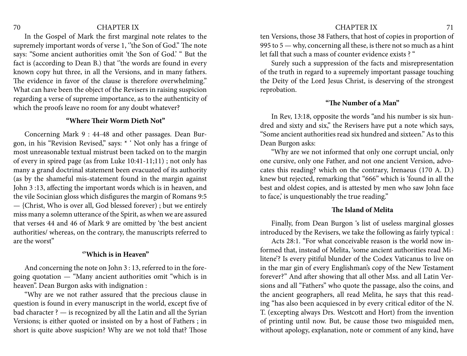### <span id="page-35-0"></span>70 CHAPTER IX CHAPTER IX 21

In the Gospel of Mark the first marginal note relates to the supremely important words of verse 1, "the Son of God." The note says: "Some ancient authorities omit 'the Son of God.' " But the fact is (according to Dean B.) that "the words are found in every known copy hut three, in all the Versions, and in many fathers. The evidence in favor of the clause is therefore overwhelming." What can have been the object of the Revisers in raising suspicion regarding a verse of supreme importance, as to the authenticity of which the proofs leave no room for any doubt whatever?

#### **"Where Their Worm Dieth Not''**

Concerning Mark 9 : 44-48 and other passages. Dean Burgon, in his "Revision Revised," says: \* ' Not only has a fringe of most unreasonable textual mistrust been tacked on to the margin of every in spired page (as from Luke 10:41-11;11) ; not only has many a grand doctrinal statement been evacuated of its authority (as by the shameful mis-statement found in the margin against John 3 :13, affecting the important words which is in heaven, and the vile Socinian gloss which disfigures the margin of Romans 9:5 — {Christ, Who is over all, God blessed forever) ; but we entirely miss many a solemn utterance of the Spirit, as when we are assured that verses 44 and 46 of Mark 9 are omitted by 'the best ancient authorities/ whereas, on the contrary, the manuscripts referred to are the worst"

### **''Which is in Heaven"**

And concerning the note on John 3 : 13, referred to in the foregoing quotation — "Many ancient authorities omit "which is in heaven". Dean Burgon asks with indignation :

"Why are we not rather assured that the precious clause in question is found in every manuscript in the world, except five of bad character ? — is recognized by all the Latin and all the Syrian Versions; is either quoted or insisted on by a host of Fathers ; in short is quite above suspicion? Why are we not told that? Those

ten Versions, those 38 Fathers, that host of copies in proportion of 995 to 5 — why, concerning all these, is there not so much as a hint let fall that such a mass of counter evidence exists ? "

Surely such a suppression of the facts and misrepresentation of the truth in regard to a supremely important passage touching the Deity of the Lord Jesus Christ, is deserving of the strongest reprobation.

### **"The Number of a Man"**

In Rev, 13:18, opposite the words "and his number is six hundred and sixty and six," the Revisers have put a note which says, "Some ancient authorities read six hundred and sixteen." As to this Dean Burgon asks:

"Why are we not informed that only one corrupt uncial, only one cursive, only one Father, and not one ancient Version, advocates this reading? which on the contrary, Irenaeus (170 A. D.) knew but rejected, remarking that "666" which is 'found in all the best and oldest copies, and is attested by men who saw John face to face,' is unquestionably the true reading."

#### **The Island of Melita**

Finally, from Dean Burgon 's list of useless marginal glosses introduced by the Revisers, we take the following as fairly typical :

Acts 28:1. "For what conceivable reason is the world now informed that, instead of Melita, 'some ancient authorities read Militene'? Is every pitiful blunder of the Codex Vaticanus to live on in the mar gin of every Englishman's copy of the New Testament forever?" And after showing that all other Mss. and all Latin Versions and all "Fathers" who quote the passage, also the coins, and the ancient geographers, all read Melita, he says that this reading "has also been acquiesced in by every critical editor of the N. T. (excepting always Drs. Westcott and Hort) from the invention of printing until now. But, be cause those two misguided men, without apology, explanation, note or comment of any kind, have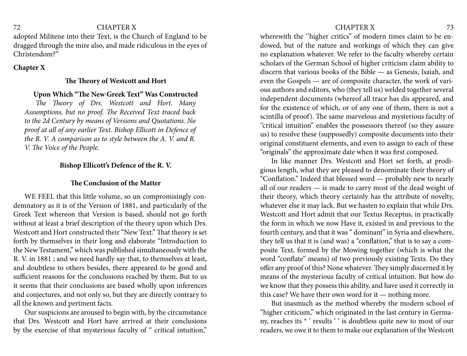# <span id="page-36-0"></span>The CHAPTER X CHAPTER X CHAPTER X CHAPTER X CHAPTER X

adopted Militene into their Text, is the Church of England to be dragged through the mire also, and made ridiculous in the eyes of Christendom?"

# **Chapter X**

### **The Theory of Westcott and Hort**

### **Upon Which "The New Greek Text" Was Constructed**

*The Theory of Drs. Westcott and Hort. Many Assumptions, but no proof. The Received Text traced back to the 2d Century by means of Versions and Quotations. No proof at all of any earlier Text. Bishop Ellicott in Defence of the R. V. A comparison as to style between the A. V. and R. V. The Voice of the People.* 

### **Bishop Ellicott's Defence of the R. V.**

#### **The Conclusion of the Matter**

WE FEEL that this little volume, so un compromisingly condemnatory as it is of the Version of 1881, and particularly of the Greek Text whereon that Version is based, should not go forth without at least a brief description of the theory upon which Drs. Westcott and Hort constructed their "New Text." That theory is set forth by themselves in their long and elaborate "Introduction to the New Testament," which was published simultaneously with the R. V. in 1881 ; and we need hardly say that, to themselves at least, and doubtless to others besides, there appeared to be good and sufficient reasons for the conclusions reached by them. But to us it seems that their conclusions are based wholly upon inferences and conjectures, and not only so, but they are directly contrary to all the known and pertinent facts.

Our suspicions are aroused to begin with, by the circumstance that Drs. Westcott and Hort have arrived at their conclusions by the exercise of that mysterious faculty of " critical intuition,"

wherewith the "higher critics" of modern times claim to be endowed, but of the nature and workings of which they can give no explanation whatever. We refer to the faculty whereby certain scholars of the German School of higher criticism claim ability to discern that various books of the Bible — as Genesis, Isaiah, and even the Gospels — are of composite character, the work of various authors and editors, who (they tell us) welded together several independent documents (whereof all trace has dis appeared, and for the existence of which, or of any one of them, there is not a scintilla of proof). The same marvelous and mysterious faculty of "critical intuition" enables the possessors thereof (so they assure us) to resolve these (supposedly) composite documents into their original constituent elements, and even to assign to each of these "originals" the approximate date when it was first composed.

In like manner Drs. Westcott and Hort set forth, at prodigious length, what they are pleased to denominate their theory of "Conflation." Indeed that blessed word — probably new to nearly all of our readers — is made to carry most of the dead weight of their theory, which theory certainly has the attribute of novelty, whatever else it may lack. But we hasten to explain that while Drs. Westcott and Hort admit that our Textus Receptus, in practically the form in which we now Have it, existed in and previous to the fourth century, and that it was " dominant" in Syria and elsewhere, they tell us that it is (and was) a "conflation," that is to say a composite Text, formed by the Mowing together (which is what the word "conflate" means) of two previously existing Texts. Do they offer any proof of this? None whatever. They simply discerned it by means of the mysterious faculty of critical intuition. But how do we know that they possess this ability, and have used it correctly in this case? We have their own word for it — nothing more.

But inasmuch as the method whereby the modern school of "higher criticism," which originated in the last century in Germany, reaches its \* ' results ' ' is doubtless quite new to most of our readers, we owe it to them to make our explanation of the Westcott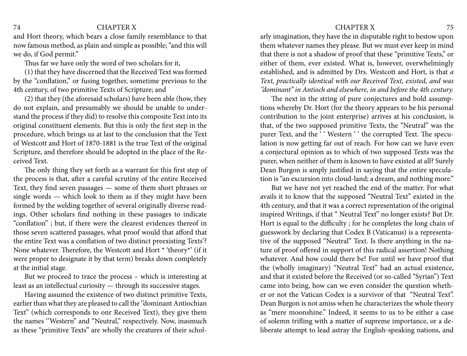## The CHAPTER X CHAPTER X 25

and Hort theory, which bears a close family resemblance to that now famous method, as plain and simple as possible; "and this will we do, if God permit."

Thus far we have only the word of two scholars for it,

(1) that they have discerned that the Received Text was formed by the "conflation," or fusing together, sometime previous to the 4th century, of two primitive Texts of Scripture; and

(2) that they (the aforesaid scholars) have been able (how, they do not explain, and presumably we should be unable to understand the process if they did) to resolve this composite Text into its original constituent elements. But this is only the first step in the procedure, which brings us at last to the conclusion that the Text of Westcott and Hort of 1870-1881 is the true Text of the original Scripture, and therefore should be adopted in the place of the Received Text.

The only thing they set forth as a warrant for this first step of the process is that, after a careful scrutiny of the entire Received Text, they find seven passages — some of them short phrases or single words — which look to them as if they might have been formed by the welding together of several originally diverse readings. Other scholars find nothing in these passages to indicate "conflation" ; but, if there were the clearest evidences thereof in those seven scattered passages, what proof would that afford that the entire Text was a conflation of two distinct preexisting Texts'? None whatever. Therefore, the Westcott and Hort \* 'theory\*' (if it were proper to designate it by that term) breaks down completely at the initial stage.

But we proceed to trace the process – which is interesting at least as an intellectual curiosity — through its successive stages.

Having assumed the existence of two distinct primitive Texts, earlier than what they are pleased to call the ''dominant Antiochian Text" (which corresponds to onr Received Text), they give them the names "Western" and "Neutral," respectively. Now, inasmuch as these "primitive Texts" are wholly the creatures of their scholarly imagination, they have the in disputable right to bestow upon them whatever names they please. But we must ever keep in mind that there is not a shadow of proof that these "primitive Texts," or either of them, ever existed. What is, however, overwhelmingly established, and is admitted by Drs. Westcott and Hort, is that *a Text, practically identical with our Received Text, existed, and was ''dominant" in Antioch and elsewhere, in and before the 4th century.* 

The next in the string of pure conjectures and bold assumptions whereby Dr. Hort (for the theory appears to be his personal contribution to the joint enterprise) arrives at his conclusion, is that, of the two supposed primitive Texts, the "Neutral" was the purer Text, and the '' Western '' the corrupted Text. The speculation is now getting far out of reach. For how can we have even a conjectural opinion as to which of two supposed Texts was the purer, when neither of them is known to have existed at all? Surely Dean Burgon is amply justified in saying that the entire speculation is "an excursion into cloud-land; a dream, and nothing more."

But we have not yet reached the end of the matter. For what avails it to know that the supposed "Neutral Text" existed in the 4th century, and that it was a correct representation of the original inspired Writings, if that " Neutral Text" no longer exists? But Dr. Hort is equal to the difficulty ; for he completes the long chain of guesswork by declaring that Codex B (Vaticanus) is a representative of the supposed "Neutral" Text. Is there anything in the nature of proof offered in support of this radical assertion! Nothing whatever. And how could there be! For until we have proof that the (wholly imaginary) "Neutral Text" had an actual existence, and that it existed before the Received (or so-called "Syrian") Text came into being, how can we even consider the question whether or not the Vatican Codex is a survivor of that "Neutral Text". Dean Burgon is not amiss when he characterizes the whole theory as "mere moonshine." Indeed, it seems to us to be either a case of solemn trifling with a matter of supreme importance, or a deliberate attempt to lead astray the English-speaking nations, and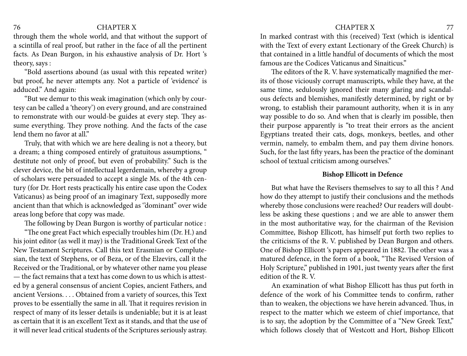#### <span id="page-38-0"></span>The CHAPTER X CHAPTER X CHAPTER X CHAPTER X CHAPTER X

through them the whole world, and that without the support of a scintilla of real proof, but rather in the face of all the pertinent facts. As Dean Burgon, in his exhaustive analysis of Dr. Hort 's theory, says :

"Bold assertions abound (as usual with this repeated writer) but proof, he never attempts any. Not a particle of 'evidence' is adduced." And again:

"But we demur to this weak imagination (which only by courtesy can be called a 'theory') on every ground, and are constrained to remonstrate with our would-be guides at every step. They assume everything. They prove nothing. And the facts of the case lend them no favor at all."

Truly, that with which we are here dealing is not a theory, but a dream; a thing composed entirely of gratuitous assumptions, " destitute not only of proof, but even of probability." Such is the clever device, the bit of intellectual legerdemain, whereby a group of scholars were persuaded to accept a single Ms. of the 4th century (for Dr. Hort rests practically his entire case upon the Codex Vaticanus) as being proof of an imaginary Text, supposedly more ancient than that which is acknowledged as ''dominant" over wide areas long before that copy was made.

The following by Dean Burgon is worthy of particular notice :

"The one great Fact which especially troubles him (Dr. H.) and his joint editor (as well it may) is the Traditional Greek Text of the New Testament Scriptures. Call this text Erasmian or Complutesian, the text of Stephens, or of Beza, or of the Elzevirs, call it the Received or the Traditional, or by whatever other name you please — the fact remains that a text has come down to us which is attested by a general consensus of ancient Copies, ancient Fathers, and ancient Versions. . . . Obtained from a variety of sources, this Text proves to be essentially the same in all. That it requires revision in respect of many of its lesser details is undeniable; but it is at least as certain that it is an excellent Text as it stands, and that the use of it will never lead critical students of the Scriptures seriously astray.

In marked contrast with this (received) Text (which is identical with the Text of every extant Lectionary of the Greek Church) is that contained in a little handful of documents of which the most famous are the Codices Vaticanus and Sinaiticus."

The editors of the R. V. have systematically magnified the merits of those viciously corrupt manuscripts, while they have, at the same time, sedulously ignored their many glaring and scandalous defects and blemishes, manifestly determined, by right or by wrong, to establish their paramount authority, when it is in any way possible to do so. And when that is clearly im possible, then their purpose apparently is "to treat their errors as the ancient Egyptians treated their cats, dogs, monkeys, beetles, and other vermin, namely, to embalm them, and pay them divine honors. Such, for the last fifty years, has been the practice of the dominant school of textual criticism among ourselves."

#### **Bishop Ellicott in Defence**

But what have the Revisers themselves to say to all this ? And how do they attempt to justify their conclusions and the methods whereby those conclusions were reached? Our readers will doubtless be asking these questions ; and we are able to answer them in the most authoritative way, for the chairman of the Revision Committee, Bishop Ellicott, has himself put forth two replies to the criticisms of the R. V. published by Dean Burgon and others. One of Bishop Ellicott 's papers appeared in 1882. The other was a matured defence, in the form of a book, "The Revised Version of Holy Scripture," published in 1901, just twenty years after the first edition of the R. V.

An examination of what Bishop Ellicott has thus put forth in defence of the work of his Committee tends to confirm, rather than to weaken, the objections we have herein advanced. Thus, in respect to the matter which we esteem of chief importance, that is to say, the adoption by the Committee of a "New Greek Text," which follows closely that of Westcott and Hort, Bishop Ellicott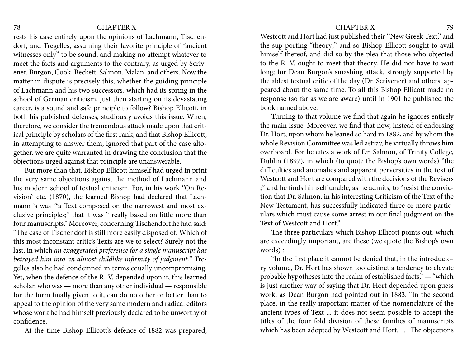### 78 CHAPTER X CHAPTER X 79

rests his case entirely upon the opinions of Lachmann, Tischendorf, and Tregelles, assuming their favorite principle of ''ancient witnesses only" to be sound, and making no attempt whatever to meet the facts and arguments to the contrary, as urged by Scrivener, Burgon, Cook, Beckett, Salmon, Malan, and others. Now the matter in dispute is precisely this, whether the guiding principle of Lachmann and his two successors, which had its spring in the school of German criticism, just then starting on its devastating career, is a sound and safe principle to follow? Bishop Ellicott, in both his published defenses, studiously avoids this issue. When, therefore, we consider the tremendous attack made upon that critical principle by scholars of the first rank, and that Bishop Ellicott, in attempting to answer them, ignored that part of the case altogether, we are quite warranted in drawing the conclusion that the objections urged against that principle are unanswerable.

But more than that. Bishop Ellicott himself had urged in print the very same objections against the method of Lachmann and his modern school of textual criticism. For, in his work ''On Revision" etc. (1870), the learned Bishop had declared that Lachmann 's was '\*a Text composed on the narrowest and most exclusive principles;" that it was " really based on little more than four manuscripts." Moreover, concerning Tischendorf he had said: "The case of Tischendorf is still more easily disposed of. Which of this most inconstant critic's Texts are we to select? Surely not the last, in which *an exaggerated preference for a single manuscript has betrayed him into an almost childlike infirmity of judgment.*" Tregelles also he had condemned in terms equally uncompromising. Yet, when the defence of the R. V. depended upon it, this learned scholar, who was — more than any other individual — responsible for the form finally given to it, can do no other or better than to appeal to the opinion of the very same modern and radical editors whose work he had himself previously declared to be unworthy of confidence.

At the time Bishop Ellicott's defence of 1882 was prepared,

Westcott and Hort had just published their "New Greek Text," and the sup porting "theory;" and so Bishop Ellicott sought to avail himself thereof, and did so by the plea that those who objected to the R. V. ought to meet that theory. He did not have to wait long; for Dean Burgon's smashing attack, strongly supported by the ablest textual critic of the day (Dr. Scrivener) and others, appeared about the same time. To all this Bishop Ellicott made no response (so far as we are aware) until in 1901 he published the book named above.

Turning to that volume we find that again he ignores entirely the main issue. Moreover, we find that now, instead of endorsing Dr. Hort, upon whom he leaned so hard in 1882, and by whom the whole Revision Committee was led astray, he virtually throws him overboard. For he cites a work of Dr. Salmon, of Trinity College, Dublin (1897), in which (to quote the Bishop's own words) "the difficulties and anomalies and apparent perversities in the text of Westcott and Hort are compared with the decisions of the Revisers ;" and he finds himself unable, as he admits, to "resist the conviction that Dr. Salmon, in his interesting Criticism of the Text of the New Testament, has successfully indicated three or more particulars which must cause some arrest in our final judgment on the Text of Westcott and Hort."

The three particulars which Bishop Ellicott points out, which are exceedingly important, are these (we quote the Bishop's own words) :

"In the first place it cannot be denied that, in the introductory volume, Dr. Hort has shown too distinct a tendency to elevate probable hypotheses into the realm of established facts," — "which is just another way of saying that Dr. Hort depended upon guess work, as Dean Burgon had pointed out in 1883. "In the second place, in the really important matter of the nomenclature of the ancient types of Text ... it does not seem possible to accept the titles of the four fold division of these families of manuscripts which has been adopted by Westcott and Hort. . . . The objections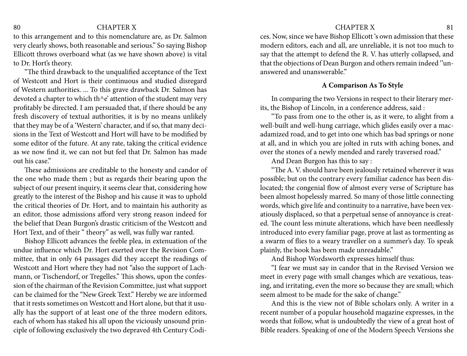### <span id="page-40-0"></span>80 CHAPTER X 81

to this arrangement and to this nomenclature are, as Dr. Salmon very clearly shows, both reasonable and serious." So saying Bishop Ellicott throws overboard what (as we have shown above) is vital to Dr. Hort's theory.

"The third drawback to the unqualified acceptance of the Text of Westcott and Hort is their continuous and studied disregard of Western authorities. ... To this grave drawback Dr. Salmon has devoted a chapter to which th^e' attention of the student may very profitably be directed. I am persuaded that, if there should be any fresh discovery of textual authorities, it is by no means unlikely that they may be of a 'Western' character, and if so, that many decisions in the Text of Westcott and Hort will have to be modified by some editor of the future. At any rate, taking the critical evidence as we now find it, we can not but feel that Dr. Salmon has made out his case."

These admissions are creditable to the honesty and candor of the one who made them ; but as regards their bearing upon the subject of our present inquiry, it seems clear that, considering how greatly to the interest of the Bishop and his cause it was to uphold the critical theories of Dr. Hort, and to maintain his authority as an editor, those admissions afford very strong reason indeed for the belief that Dean Burgon's drastic criticism of the Westcott and Hort Text, and of their " theory" as well, was fully war ranted.

Bishop Ellicott advances the feeble plea, in extenuation of the undue influence which Dr. Hort exerted over the Revision Committee, that in only 64 passages did they accept the readings of Westcott and Hort where they had not "also the support of Lachmann, or Tischendorf, or Tregelles." This shows, upon the confession of the chairman of the Revision Committee, just what support can be claimed for the "New Greek Text." Hereby we are informed that it rests sometimes on Westcott and Hort alone, but that it usually has the support of at least one of the three modern editors, each of whom has staked his all upon the viciously unsound principle of following exclusively the two depraved 4th Century Codices. Now, since we have Bishop Ellicott 's own admission that these modern editors, each and all, are unreliable, it is not too much to say that the attempt to defend the R. V. has utterly collapsed, and that the objections of Dean Burgon and others remain indeed ''unanswered and unanswerable."

### **A Comparison As To Style**

In comparing the two Versions in respect to their literary merits, the Bishop of Lincoln, in a conference address, said :

"To pass from one to the other is, as it were, to alight from a well-built and well-hung carriage, which glides easily over a macadamized road, and to get into one which has bad springs or none at all, and in which you are jolted in ruts with aching bones, and over the stones of a newly mended and rarely traversed road."

And Dean Burgon has this to say :

"The A. V. should have been jealously retained wherever it was possible; but on the contrary every familiar cadence has been dislocated; the congenial flow of almost every verse of Scripture has been almost hopelessly marred. So many of those little connecting words, which give life and continuity to a narrative, have been vexatiously displaced, so that a perpetual sense of annoyance is created. The count less minute alterations, which have been needlessly introduced into every familiar page, prove at last as tormenting as a swarm of flies to a weary traveller on a summer's day. To speak plainly, the book has been made unreadable."

And Bishop Wordsworth expresses himself thus:

"I fear we must say in candor that in the Revised Version we meet in every page with small changes which are vexatious, teasing, and irritating, even the more so because they are small; which seem almost to be made for the sake of change."

And this is the view not of Bible scholars only. A writer in a recent number of a popular household magazine expresses, in the words that follow, what is undoubtedly the view of a great host of Bible readers. Speaking of one of the Modern Speech Versions she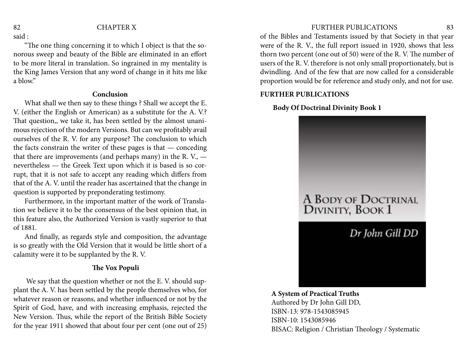said :

"The one thing concerning it to which I object is that the sonorous sweep and beauty of the Bible are eliminated in an effort to be more literal in translation. So ingrained in my mentality is the King James Version that any word of change in it hits me like a blow."

#### **Conclusion**

What shall we then say to these things ? Shall we accept the E. V. (either the English or American) as a substitute for the A. V.? That question,, we take it, has been settled by the almost unanimous rejection of the modern Versions. But can we profitably avail ourselves of the R. V. for any purpose? The conclusion to which the facts constrain the writer of these pages is that — conceding that there are improvements (and perhaps many) in the R. V.,  $$ nevertheless — the Greek Text upon which it is based is so corrupt, that it is not safe to accept any reading which differs from that of the A. V. until the reader has ascertained that the change in question is supported by preponderating testimony.

Furthermore, in the important matter of the work of Translation we believe it to be the consensus of the best opinion that, in this feature also, the Authorized Version is vastly superior to that of 1881.

And finally, as regards style and composition, the advantage is so greatly with the Old Version that it would be little short of a calamity were it to be supplanted by the R. V.

### **The Vox Populi**

 We say that the question whether or not the E. V. should supplant the A. V. has been settled by the people themselves who, for whatever reason or reasons, and whether influenced or not by the Spirit of God, have, and with increasing emphasis, rejected the New Version. Thus, while the report of the British Bible Society for the year 1911 showed that about four per cent (one out of 25)

### <span id="page-41-0"></span>82 CHAPTER X FURTHER PUBLICATIONS 83

of the Bibles and Testaments issued by that Society in that year were of the R. V., the full report issued in 1920, shows that less thorn two percent (one out of 50) were of the R. V. The number of users of the R. V. therefore is not only small proportionately, but is dwindling. And of the few that are now called for a considerable proportion would be for reference and study only, and not for use.

# **FURTHER PUBLICATIONS**

#### **Body Of Doctrinal Divinity Book 1**



**A System of Practical Truths** Authored by Dr John Gill DD, ISBN-13: 978-1543085945 ISBN-10: 1543085946 BISAC: Religion / Christian Theology / Systematic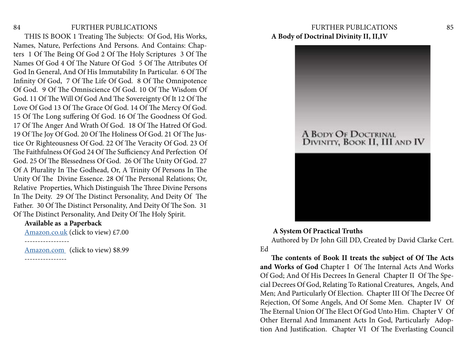THIS IS BOOK 1 Treating The Subjects: Of God, His Works, Names, Nature, Perfections And Persons. And Contains: Chapters 1 Of The Being Of God 2 Of The Holy Scriptures 3 Of The Names Of God 4 Of The Nature Of God 5 Of The Attributes Of God In General, And Of His Immutability In Particular. 6 Of The Infinity Of God, 7 Of The Life Of God. 8 Of The Omnipotence Of God. 9 Of The Omniscience Of God. 10 Of The Wisdom Of God. 11 Of The Will Of God And The Sovereignty Of It 12 Of The Love Of God 13 Of The Grace Of God. 14 Of The Mercy Of God. 15 Of The Long suffering Of God. 16 Of The Goodness Of God. 17 Of The Anger And Wrath Of God. 18 Of The Hatred Of God. 19 Of The Joy Of God. 20 Of The Holiness Of God. 21 Of The Justice Or Righteousness Of God. 22 Of The Veracity Of God. 23 Of The Faithfulness Of God 24 Of The Sufficiency And Perfection Of God. 25 Of The Blessedness Of God. 26 Of The Unity Of God. 27 Of A Plurality In The Godhead, Or, A Trinity Of Persons In The Unity Of The Divine Essence. 28 Of The Personal Relations; Or, Relative Properties, Which Distinguish The Three Divine Persons In The Deity. 29 Of The Distinct Personality, And Deity Of The Father. 30 Of The Distinct Personality, And Deity Of The Son. 31 Of The Distinct Personality, And Deity Of The Holy Spirit.

### **Available as a Paperback**

Amazon.co.uk (click to view) £7.00

-----------------

Amazon.com (click to view) \$8.99

# <span id="page-42-0"></span>84 FURTHER PUBLICATIONS FURTHER PUBLICATIONS 85 **A Body of Doctrinal Divinity II, II,IV**



#### **A System Of Practical Truths**

Authored by Dr John Gill DD, Created by David Clarke Cert. Ed

**The contents of Book II treats the subject of Of The Acts and Works of God** Chapter I Of The Internal Acts And Works Of God; And Of His Decrees In General Chapter II Of The Special Decrees Of God, Relating To Rational Creatures, Angels, And Men; And Particularly Of Election. Chapter III Of The Decree Of Rejection, Of Some Angels, And Of Some Men. Chapter IV Of The Eternal Union Of The Elect Of God Unto Him. Chapter V Of Other Eternal And Immanent Acts In God, Particularly Adoption And Justification. Chapter VI Of The Everlasting Council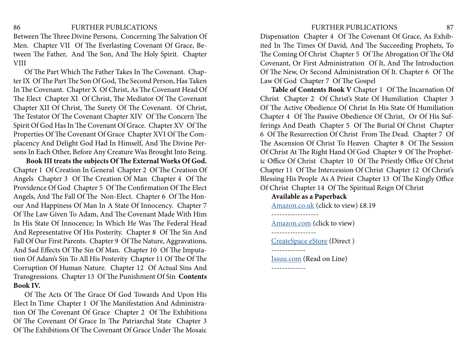### 86 FURTHER PUBLICATIONS FURTHER PUBLICATIONS 87

Between The Three Divine Persons, Concerning The Salvation Of Men. Chapter VII Of The Everlasting Covenant Of Grace, Between The Father, And The Son, And The Holy Spirit. Chapter VIII

Of The Part Which The Father Takes In The Covenant. Chapter IX Of The Part The Son Of God, The Second Person, Has Taken In The Covenant. Chapter X Of Christ, As The Covenant Head Of The Elect Chapter XI Of Christ, The Mediator Of The Covenant Chapter XII Of Christ, The Surety Of The Covenant. Of Christ, The Testator Of The Covenant Chapter XIV Of The Concern The Spirit Of God Has In The Covenant Of Grace. Chapter XV Of The Properties Of The Covenant Of Grace Chapter XVI Of The Complacency And Delight God Had In Himself, And The Divine Persons In Each Other, Before Any Creature Was Brought Into Being.

 **Book III treats the subjects Of The External Works Of God.**  Chapter 1 Of Creation In General Chapter 2 Of The Creation Of Angels Chapter 3 Of The Creation Of Man Chapter 4 Of The Providence Of God Chapter 5 Of The Confirmation Of The Elect Angels, And The Fall Of The Non-Elect. Chapter 6 Of The Honour And Happiness Of Man In A State Of Innocency. Chapter 7 Of The Law Given To Adam, And The Covenant Made With Him In His State Of Innocence; In Which He Was The Federal Head And Representative Of His Posterity. Chapter 8 Of The Sin And Fall Of Our First Parents. Chapter 9 Of The Nature, Aggravations, And Sad Effects Of The Sin Of Man. Chapter 10 Of The Imputation Of Adam's Sin To All His Posterity Chapter 11 Of The Of The Corruption Of Human Nature. Chapter 12 Of Actual Sins And Transgressions. Chapter 13 Of The Punishment Of Sin **Contents Book IV.**

Of The Acts Of The Grace Of God Towards And Upon His Elect In Time Chapter 1 Of The Manifestation And Administration Of The Covenant Of Grace Chapter 2 Of The Exhibitions Of The Covenant Of Grace In The Patriarchal State Chapter 3 Of The Exhibitions Of The Covenant Of Grace Under The Mosaic

Dispensation Chapter 4 Of The Covenant Of Grace, As Exhibited In The Times Of David, And The Succeeding Prophets, To The Coming Of Christ Chapter 5 Of The Abrogation Of The Old Covenant, Or First Administration Of It, And The Introduction Of The New, Or Second Administration Of It. Chapter 6 Of The Law Of God Chapter 7 Of The Gospel

**Table of Contents Book V** Chapter 1 Of The Incarnation Of Christ Chapter 2 Of Christ's State Of Humiliation Chapter 3 Of The Active Obedience Of Christ In His State Of Humiliation Chapter 4 Of The Passive Obedience Of Christ, Or Of His Sufferings And Death Chapter 5 Of The Burial Of Christ Chapter 6 Of The Resurrection Of Christ From The Dead. Chapter 7 Of The Ascension Of Christ To Heaven Chapter 8 Of The Session Of Christ At The Right Hand Of God Chapter 9 Of The Prophetic Office Of Christ Chapter 10 Of The Priestly Office Of Christ Chapter 11 Of The Intercession Of Christ Chapter 12 Of Christ's Blessing His People As A Priest Chapter 13 Of The Kingly Office Of Christ Chapter 14 Of The Spiritual Reign Of Christ

#### **Available as a Paperback**

Amazon.co.uk (click to view) £8.19 ------------------ Amazon.com (click to view) ----------------- CreateSpace eStore (Direct ) ------------- Issuu.com (Read on Line) -------------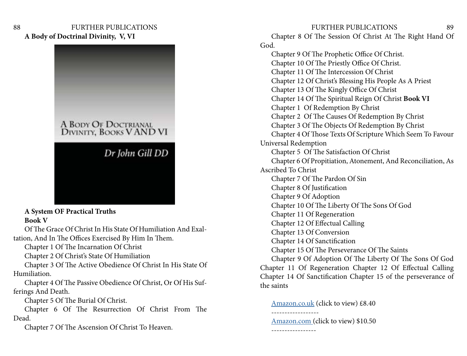# <span id="page-44-0"></span>88 FURTHER PUBLICATIONS FURTHER PUBLICATIONS 89 **A Body of Doctrinal Divinity, V, VI**

# A BODY OF DOCTRIANAL **DIVINITY, BOOKS VAND VI**

# Dr John Gill DD

# **A System OF Practical Truths Book V**

Of The Grace Of Christ In His State Of Humiliation And Exaltation, And In The Offices Exercised By Him In Them.

Chapter 1 Of The Incarnation Of Christ

Chapter 2 Of Christ's State Of Humiliation

Chapter 3 Of The Active Obedience Of Christ In His State Of Humiliation.

Chapter 4 Of The Passive Obedience Of Christ, Or Of His Sufferings And Death.

Chapter 5 Of The Burial Of Christ.

Chapter 6 Of The Resurrection Of Christ From The Dead.

Chapter 7 Of The Ascension Of Christ To Heaven.

Chapter 8 Of The Session Of Christ At The Right Hand Of God.

Chapter 9 Of The Prophetic Office Of Christ. Chapter 10 Of The Priestly Office Of Christ. Chapter 11 Of The Intercession Of Christ Chapter 12 Of Christ's Blessing His People As A Priest Chapter 13 Of The Kingly Office Of Christ Chapter 14 Of The Spiritual Reign Of Christ **Book VI** Chapter 1 Of Redemption By Christ Chapter 2 Of The Causes Of Redemption By Christ Chapter 3 Of The Objects Of Redemption By Christ Chapter 4 Of Those Texts Of Scripture Which Seem To Favour Universal Redemption Chapter 5 Of The Satisfaction Of Christ Chapter 6 Of Propitiation, Atonement, And Reconciliation, As Ascribed To Christ Chapter 7 Of The Pardon Of Sin Chapter 8 Of Justification Chapter 9 Of Adoption Chapter 10 Of The Liberty Of The Sons Of God Chapter 11 Of Regeneration Chapter 12 Of Effectual Calling Chapter 13 Of Conversion Chapter 14 Of Sanctification Chapter 15 Of The Perseverance Of The Saints Chapter 9 Of Adoption Of The Liberty Of The Sons Of God Chapter 11 Of Regeneration Chapter 12 Of Effectual Calling Chapter 14 Of Sanctification Chapter 15 of the perseverance of

Amazon.co.uk (click to view) £8.40

------------------

-----------------

the saints

Amazon.com (click to view) \$10.50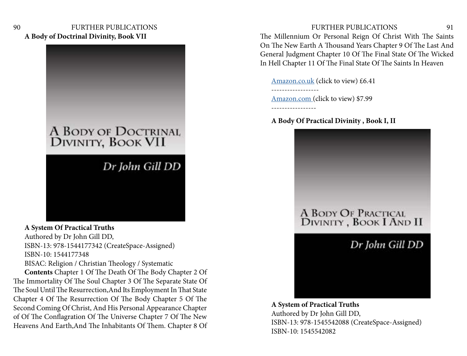# <span id="page-45-0"></span>90 FURTHER PUBLICATIONS FURTHER PUBLICATIONS 91 **A Body of Doctrinal Divinity, Book VII**

# A BODY OF DOCTRINAL **DIVINITY, BOOK VII**

# Dr John Gill DD

**A System Of Practical Truths** Authored by Dr John Gill DD, ISBN-13: 978-1544177342 (CreateSpace-Assigned) ISBN-10: 1544177348 BISAC: Religion / Christian Theology / Systematic

**Contents** Chapter 1 Of The Death Of The Body Chapter 2 Of The Immortality Of The Soul Chapter 3 Of The Separate State Of The Soul Until The Resurrection,And Its Employment In That State Chapter 4 Of The Resurrection Of The Body Chapter 5 Of The Second Coming Of Christ, And His Personal Appearance Chapter of Of The Conflagration Of The Universe Chapter 7 Of The New Heavens And Earth,And The Inhabitants Of Them. Chapter 8 Of

The Millennium Or Personal Reign Of Christ With The Saints On The New Earth A Thousand Years Chapter 9 Of The Last And General Judgment Chapter 10 Of The Final State Of The Wicked In Hell Chapter 11 Of The Final State Of The Saints In Heaven

Amazon.co.uk (click to view) £6.41

Amazon.com (click to view) \$7.99

------------------

-----------------

# **A Body Of Practical Divinity , Book I, II**



**A System of Practical Truths** Authored by Dr John Gill DD, ISBN-13: 978-1545542088 (CreateSpace-Assigned) ISBN-10: 1545542082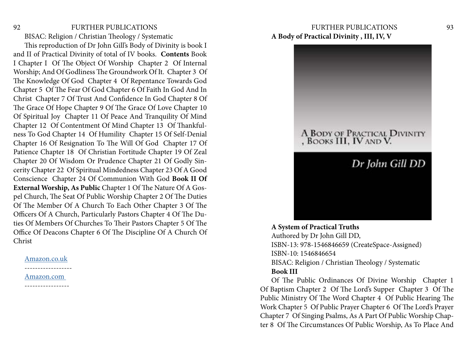BISAC: Religion / Christian Theology / Systematic

This reproduction of Dr John Gill's Body of Divinity is book I and II of Practical Divinity of total of IV books. **Contents** Book I Chapter I Of The Object Of Worship Chapter 2 Of Internal Worship; And Of Godliness The Groundwork Of It. Chapter 3 Of The Knowledge Of God Chapter 4 Of Repentance Towards God Chapter 5 Of The Fear Of God Chapter 6 Of Faith In God And In Christ Chapter 7 Of Trust And Confidence In God Chapter 8 Of The Grace Of Hope Chapter 9 Of The Grace Of Love Chapter 10 Of Spiritual Joy Chapter 11 Of Peace And Tranquility Of Mind Chapter 12 Of Contentment Of Mind Chapter 13 Of Thankfulness To God Chapter 14 Of Humility Chapter 15 Of Self-Denial Chapter 16 Of Resignation To The Will Of God Chapter 17 Of Patience Chapter 18 Of Christian Fortitude Chapter 19 Of Zeal Chapter 20 Of Wisdom Or Prudence Chapter 21 Of Godly Sincerity Chapter 22 Of Spiritual Mindedness Chapter 23 Of A Good Conscience Chapter 24 Of Communion With God **Book II Of External Worship, As Public** Chapter 1 Of The Nature Of A Gospel Church, The Seat Of Public Worship Chapter 2 Of The Duties Of The Member Of A Church To Each Other Chapter 3 Of The Officers Of A Church, Particularly Pastors Chapter 4 Of The Duties Of Members Of Churches To Their Pastors Chapter 5 Of The Office Of Deacons Chapter 6 Of The Discipline Of A Church Of Christ

Amazon.co.uk

------------------ Amazon.com

# <span id="page-46-0"></span>92 FURTHER PUBLICATIONS FURTHER PUBLICATIONS 93 **A Body of Practical Divinity , III, IV, V**



### **A System of Practical Truths**

Authored by Dr John Gill DD, ISBN-13: 978-1546846659 (CreateSpace-Assigned) ISBN-10: 1546846654 BISAC: Religion / Christian Theology / Systematic **Book III**

Of The Public Ordinances Of Divine Worship Chapter 1 Of Baptism Chapter 2 Of The Lord's Supper Chapter 3 Of The Public Ministry Of The Word Chapter 4 Of Public Hearing The Work Chapter 5 Of Public Prayer Chapter 6 Of The Lord's Prayer Chapter 7 Of Singing Psalms, As A Part Of Public Worship Chapter 8 Of The Circumstances Of Public Worship, As To Place And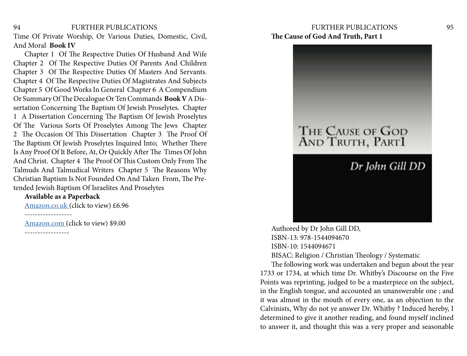Time Of Private Worship, Or Various Duties, Domestic, Civil, And Moral **Book IV**

Chapter 1 Of The Respective Duties Of Husband And Wife Chapter 2 Of The Respective Duties Of Parents And Children Chapter 3 Of The Respective Duties Of Masters And Servants. Chapter 4 Of The Respective Duties Of Magistrates And Subjects Chapter 5 Of Good Works In General Chapter 6 A Compendium Or Summary Of The Decalogue Or Ten Commands **Book V** A Dissertation Concerning The Baptism Of Jewish Proselytes. Chapter 1 A Dissertation Concerning The Baptism Of Jewish Proselytes Of The Various Sorts Of Proselytes Among The Jews Chapter 2 The Occasion Of This Dissertation Chapter 3 The Proof Of The Baptism Of Jewish Proselytes Inquired Into; Whether There Is Any Proof Of It Before, At, Or Quickly After The Times Of John And Christ. Chapter 4 The Proof Of This Custom Only From The Talmuds And Talmudical Writers Chapter 5 The Reasons Why Christian Baptism Is Not Founded On And Taken From, The Pretended Jewish Baptism Of Israelites And Proselytes

**Available as a Paperback**

Amazon.co.uk (click to view) £6.96

------------------

Amazon.com (click to view) \$9.00

-----------------

# <span id="page-47-0"></span>94 FURTHER PUBLICATIONS FURTHER PUBLICATIONS 95 **The Cause of God And Truth, Part 1**



Authored by Dr John Gill DD, ISBN-13: 978-1544094670 ISBN-10: 1544094671 BISAC: Religion / Christian Theology / Systematic

The following work was undertaken and begun about the year 1733 or 1734, at which time Dr. Whitby's Discourse on the Five Points was reprinting, judged to be a masterpiece on the subject, in the English tongue, and accounted an unanswerable one ; and it was almost in the mouth of every one, as an objection to the Calvinists, Why do not ye answer Dr. Whitby ? Induced hereby, I determined to give it another reading, and found myself inclined to answer it, and thought this was a very proper and seasonable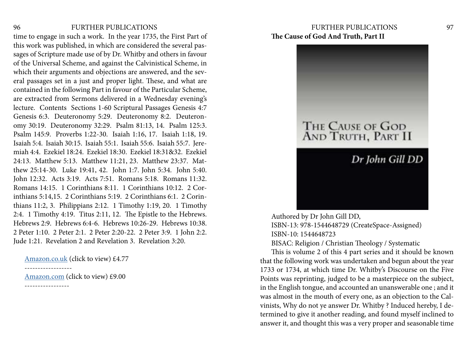time to engage in such a work. In the year 1735, the First Part of this work was published, in which are considered the several passages of Scripture made use of by Dr. Whitby and others in favour of the Universal Scheme, and against the Calvinistical Scheme, in which their arguments and objections are answered, and the several passages set in a just and proper light. These, and what are contained in the following Part in favour of the Particular Scheme, are extracted from Sermons delivered in a Wednesday evening's lecture. Contents Sections 1-60 Scriptural Passages Genesis 4:7 Genesis 6:3. Deuteronomy 5:29. Deuteronomy 8:2. Deuteronomy 30:19. Deuteronomy 32:29. Psalm 81:13, 14. Psalm 125:3. Psalm 145:9. Proverbs 1:22-30. Isaiah 1:16, 17. Isaiah 1:18, 19. Isaiah 5:4. Isaiah 30:15. Isaiah 55:1. Isaiah 55:6. Isaiah 55:7. Jeremiah 4:4. Ezekiel 18:24. Ezekiel 18:30. Ezekiel 18:31&32. Ezekiel 24:13. Matthew 5:13. Matthew 11:21, 23. Matthew 23:37. Matthew 25:14-30. Luke 19:41, 42. John 1:7. John 5:34. John 5:40. John 12:32. Acts 3:19. Acts 7:51. Romans 5:18. Romans 11:32. Romans 14:15. 1 Corinthians 8:11. 1 Corinthians 10:12. 2 Corinthians 5:14,15. 2 Corinthians 5:19. 2 Corinthians 6:1. 2 Corinthians 11:2, 3. Philippians 2:12. 1 Timothy 1:19, 20. 1 Timothy 2:4. 1 Timothy 4:19. Titus 2:11, 12. The Epistle to the Hebrews. Hebrews 2:9. Hebrews 6:4-6. Hebrews 10:26-29. Hebrews 10:38. 2 Peter 1:10. 2 Peter 2:1. 2 Peter 2:20-22. 2 Peter 3:9. 1 John 2:2. Jude 1:21. Revelation 2 and Revelation 3. Revelation 3:20.

Amazon.co.uk (click to view) £4.77

------------------

Amazon.com (click to view) £9.00

# <span id="page-48-0"></span>96 FURTHER PUBLICATIONS FURTHER PUBLICATIONS 97 **The Cause of God And Truth, Part II**



Authored by Dr John Gill DD, ISBN-13: 978-1544648729 (CreateSpace-Assigned) ISBN-10: 1544648723

BISAC: Religion / Christian Theology / Systematic

This is volume 2 of this 4 part series and it should be known that the following work was undertaken and begun about the year 1733 or 1734, at which time Dr. Whitby's Discourse on the Five Points was reprinting, judged to be a masterpiece on the subject, in the English tongue, and accounted an unanswerable one ; and it was almost in the mouth of every one, as an objection to the Calvinists, Why do not ye answer Dr. Whitby ? Induced hereby, I determined to give it another reading, and found myself inclined to answer it, and thought this was a very proper and seasonable time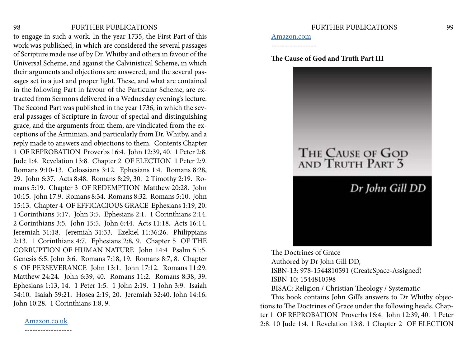#### <span id="page-49-0"></span>98 FURTHER PUBLICATIONS FURTHER PUBLICATIONS 99

to engage in such a work. In the year 1735, the First Part of this work was published, in which are considered the several passages of Scripture made use of by Dr. Whitby and others in favour of the Universal Scheme, and against the Calvinistical Scheme, in which their arguments and objections are answered, and the several passages set in a just and proper light. These, and what are contained in the following Part in favour of the Particular Scheme, are extracted from Sermons delivered in a Wednesday evening's lecture. The Second Part was published in the year 1736, in which the several passages of Scripture in favour of special and distinguishing grace, and the arguments from them, are vindicated from the exceptions of the Arminian, and particularly from Dr. Whitby, and a reply made to answers and objections to them. Contents Chapter 1 OF REPROBATION Proverbs 16:4. John 12:39, 40. 1 Peter 2:8. Jude 1:4. Revelation 13:8. Chapter 2 OF ELECTION 1 Peter 2:9. Romans 9:10-13. Colossians 3:12. Ephesians 1:4. Romans 8:28, 29. John 6:37. Acts 8:48. Romans 8:29, 30. 2 Timothy 2:19. Romans 5:19. Chapter 3 OF REDEMPTION Matthew 20:28. John 10:15. John 17:9. Romans 8:34. Romans 8:32. Romans 5:10. John 15:13. Chapter 4 OF EFFICACIOUS GRACE Ephesians 1:19, 20. 1 Corinthians 5:17. John 3:5. Ephesians 2:1. 1 Corinthians 2:14. 2 Corinthians 3:5. John 15:5. John 6:44. Acts 11:18. Acts 16:14. Jeremiah 31:18. Jeremiah 31:33. Ezekiel 11:36:26. Philippians 2:13. 1 Corinthians 4:7. Ephesians 2:8, 9. Chapter 5 OF THE CORRUPTION OF HUMAN NATURE John 14:4 Psalm 51:5. Genesis 6:5. John 3:6. Romans 7:18, 19. Romans 8:7, 8. Chapter 6 OF PERSEVERANCE John 13:1. John 17:12. Romans 11:29. Matthew 24:24. John 6:39, 40. Romans 11:2. Romans 8:38, 39. Ephesians 1:13, 14. 1 Peter 1:5. 1 John 2:19. 1 John 3:9. Isaiah 54:10. Isaiah 59:21. Hosea 2:19, 20. Jeremiah 32:40. John 14:16. John 10:28. 1 Corinthians 1:8, 9.

#### Amazon.co.uk

------------------

Amazon.com

### **The Cause of God and Truth Part III**



The Doctrines of Grace Authored by Dr John Gill DD, ISBN-13: 978-1544810591 (CreateSpace-Assigned) ISBN-10: 1544810598

BISAC: Religion / Christian Theology / Systematic

This book contains John Gill's answers to Dr Whitby objections to The Doctrines of Grace under the following heads. Chapter 1 OF REPROBATION Proverbs 16:4. John 12:39, 40. 1 Peter 2:8. 10 Jude 1:4. 1 Revelation 13:8. 1 Chapter 2 OF ELECTION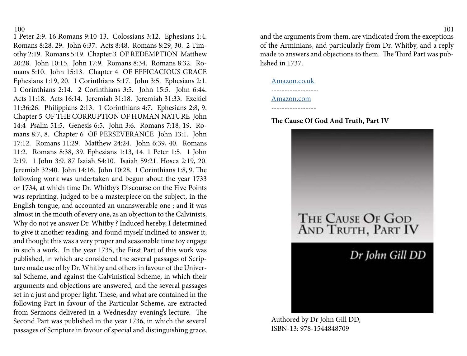1 Peter 2:9. 16 Romans 9:10-13. Colossians 3:12. Ephesians 1:4. Romans 8:28, 29. John 6:37. Acts 8:48. Romans 8:29, 30. 2 Timothy 2:19. Romans 5:19. Chapter 3 OF REDEMPTION Matthew 20:28. John 10:15. John 17:9. Romans 8:34. Romans 8:32. Romans 5:10. John 15:13. Chapter 4 OF EFFICACIOUS GRACE Ephesians 1:19, 20. 1 Corinthians 5:17. John 3:5. Ephesians 2:1. 1 Corinthians 2:14. 2 Corinthians 3:5. John 15:5. John 6:44. Acts 11:18. Acts 16:14. Jeremiah 31:18. Jeremiah 31:33. Ezekiel 11:36:26. Philippians 2:13. 1 Corinthians 4:7. Ephesians 2:8, 9. Chapter 5 OF THE CORRUPTION OF HUMAN NATURE John 14:4 Psalm 51:5. Genesis 6:5. John 3:6. Romans 7:18, 19. Romans 8:7, 8. Chapter 6 OF PERSEVERANCE John 13:1. John 17:12. Romans 11:29. Matthew 24:24. John 6:39, 40. Romans 11:2. Romans 8:38, 39. Ephesians 1:13, 14. 1 Peter 1:5. 1 John 2:19. 1 John 3:9. 87 Isaiah 54:10. Isaiah 59:21. Hosea 2:19, 20. Jeremiah 32:40. John 14:16. John 10:28. 1 Corinthians 1:8, 9. The following work was undertaken and begun about the year 1733 or 1734, at which time Dr. Whitby's Discourse on the Five Points was reprinting, judged to be a masterpiece on the subject, in the English tongue, and accounted an unanswerable one ; and it was almost in the mouth of every one, as an objection to the Calvinists, Why do not ye answer Dr. Whitby ? Induced hereby, I determined to give it another reading, and found myself inclined to answer it, and thought this was a very proper and seasonable time toy engage in such a work. In the year 1735, the First Part of this work was published, in which are considered the several passages of Scripture made use of by Dr. Whitby and others in favour of the Universal Scheme, and against the Calvinistical Scheme, in which their arguments and objections are answered, and the several passages set in a just and proper light. These, and what are contained in the following Part in favour of the Particular Scheme, are extracted from Sermons delivered in a Wednesday evening's lecture. The Second Part was published in the year 1736, in which the several passages of Scripture in favour of special and distinguishing grace,

<span id="page-50-0"></span>100 101 and the arguments from them, are vindicated from the exceptions of the Arminians, and particularly from Dr. Whitby, and a reply made to answers and objections to them. The Third Part was published in 1737.

> Amazon.co.uk ------------------ Amazon.com -----------------

#### **The Cause Of God And Truth, Part IV**



Authored by Dr John Gill DD, ISBN-13: 978-1544848709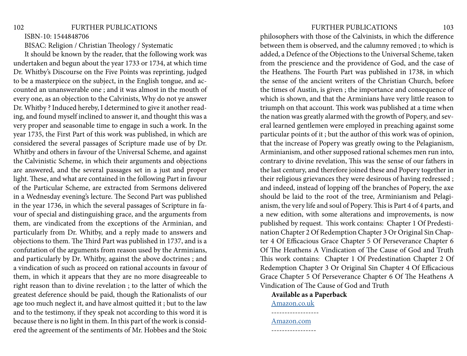ISBN-10: 1544848706

BISAC: Religion / Christian Theology / Systematic

It should be known by the reader, that the following work was undertaken and begun about the year 1733 or 1734, at which time Dr. Whitby's Discourse on the Five Points was reprinting, judged to be a masterpiece on the subject, in the English tongue, and accounted an unanswerable one ; and it was almost in the mouth of every one, as an objection to the Calvinists, Why do not ye answer Dr. Whitby ? Induced hereby, I determined to give it another reading, and found myself inclined to answer it, and thought this was a very proper and seasonable time to engage in such a work. In the year 1735, the First Part of this work was published, in which are considered the several passages of Scripture made use of by Dr. Whitby and others in favour of the Universal Scheme, and against the Calvinistic Scheme, in which their arguments and objections are answered, and the several passages set in a just and proper light. These, and what are contained in the following Part in favour of the Particular Scheme, are extracted from Sermons delivered in a Wednesday evening's lecture. The Second Part was published in the year 1736, in which the several passages of Scripture in favour of special and distinguishing grace, and the arguments from them, are vindicated from the exceptions of the Arminian, and particularly from Dr. Whitby, and a reply made to answers and objections to them. The Third Part was published in 1737, and is a confutation of the arguments from reason used by the Arminians, and particularly by Dr. Whitby, against the above doctrines ; and a vindication of such as proceed on rational accounts in favour of them, in which it appears that they are no more disagreeable to right reason than to divine revelation ; to the latter of which the greatest deference should be paid, though the Rationalists of our age too much neglect it, and have almost quitted it ; but to the law and to the testimony, if they speak not according to this word it is because there is no light in them. In this part of the work is considered the agreement of the sentiments of Mr. Hobbes and the Stoic

philosophers with those of the Calvinists, in which the difference between them is observed, and the calumny removed ; to which is added, a Defence of the Objections to the Universal Scheme, taken from the prescience and the providence of God, and the case of the Heathens. The Fourth Part was published in 1738, in which the sense of the ancient writers of the Christian Church, before the times of Austin, is given ; the importance and consequence of which is shown, and that the Arminians have very little reason to triumph on that account. This work was published at a time when the nation was greatly alarmed with the growth of Popery, and several learned gentlemen were employed in preaching against some particular points of it ; but the author of this work was of opinion, that the increase of Popery was greatly owing to the Pelagianism, Arminianism, and other supposed rational schemes men run into, contrary to divine revelation, This was the sense of our fathers in the last century, and therefore joined these and Popery together in their religious grievances they were desirous of having redressed ; and indeed, instead of lopping off the branches of Popery, the axe should be laid to the root of the tree, Arminianism and Pelagianism, the very life and soul of Popery. This is Part 4 of 4 parts, and a new edition, with some alterations and improvements, is now published by request. This work contains: Chapter 1 Of Predestination Chapter 2 Of Redemption Chapter 3 Or Original Sin Chapter 4 Of Efficacious Grace Chapter 5 Of Perseverance Chapter 6 Of The Heathens A Vindication of The Cause of God and Truth This work contains: Chapter 1 Of Predestination Chapter 2 Of Redemption Chapter 3 Or Original Sin Chapter 4 Of Efficacious Grace Chapter 5 Of Perseverance Chapter 6 Of The Heathens A Vindication of The Cause of God and Truth

### **Available as a Paperback**

Amazon.co.uk ------------------

Amazon.com -----------------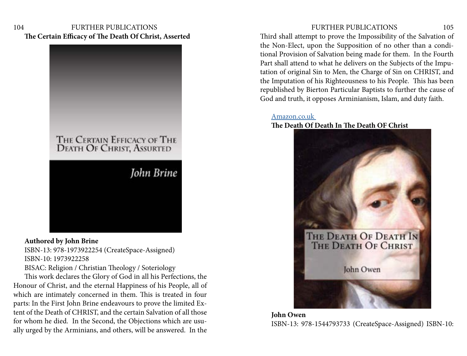# <span id="page-52-0"></span>104 FURTHER PUBLICATIONS FURTHER PUBLICATIONS 105 **The Certain Efficacy of The Death Of Christ, Asserted**

# THE CERTAIN EFFICACY OF THE **DEATH OF CHRIST, ASSURTED**

# John Brine

### **Authored by John Brine**

ISBN-13: 978-1973922254 (CreateSpace-Assigned) ISBN-10: 1973922258

BISAC: Religion / Christian Theology / Soteriology

This work declares the Glory of God in all his Perfections, the Honour of Christ, and the eternal Happiness of his People, all of which are intimately concerned in them. This is treated in four parts: In the First John Brine endeavours to prove the limited Extent of the Death of CHRIST, and the certain Salvation of all those for whom he died. In the Second, the Objections which are usually urged by the Arminians, and others, will be answered. In the

Third shall attempt to prove the Impossibility of the Salvation of the Non-Elect, upon the Supposition of no other than a conditional Provision of Salvation being made for them. In the Fourth Part shall attend to what he delivers on the Subjects of the Imputation of original Sin to Men, the Charge of Sin on CHRIST, and the Imputation of his Righteousness to his People. This has been republished by Bierton Particular Baptists to further the cause of God and truth, it opposes Arminianism, Islam, and duty faith.

#### Amazon.co.uk

#### **The Death Of Death In The Death OF Christ**



**John Owen** ISBN-13: 978-1544793733 (CreateSpace-Assigned) ISBN-10: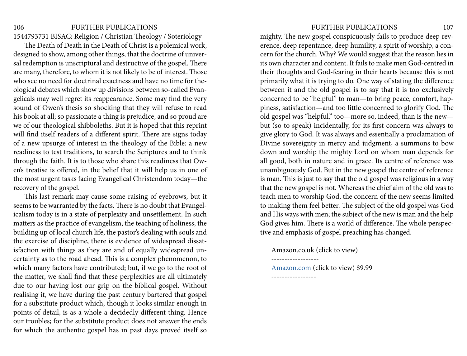#### 106 FURTHER PUBLICATIONS FURTHER PUBLICATIONS 107

1544793731 BISAC: Religion / Christian Theology / Soteriology

The Death of Death in the Death of Christ is a polemical work, designed to show, among other things, that the doctrine of universal redemption is unscriptural and destructive of the gospel. There are many, therefore, to whom it is not likely to be of interest. Those who see no need for doctrinal exactness and have no time for theological debates which show up divisions between so-called Evangelicals may well regret its reappearance. Some may find the very sound of Owen's thesis so shocking that they will refuse to read his book at all; so passionate a thing is prejudice, and so proud are we of our theological shibboleths. But it is hoped that this reprint will find itself readers of a different spirit. There are signs today of a new upsurge of interest in the theology of the Bible: a new readiness to test traditions, to search the Scriptures and to think through the faith. It is to those who share this readiness that Owen's treatise is offered, in the belief that it will help us in one of the most urgent tasks facing Evangelical Christendom today—the recovery of the gospel.

This last remark may cause some raising of eyebrows, but it seems to be warranted by the facts. There is no doubt that Evangelicalism today is in a state of perplexity and unsettlement. In such matters as the practice of evangelism, the teaching of holiness, the building up of local church life, the pastor's dealing with souls and the exercise of discipline, there is evidence of widespread dissatisfaction with things as they are and of equally widespread uncertainty as to the road ahead. This is a complex phenomenon, to which many factors have contributed; but, if we go to the root of the matter, we shall find that these perplexities are all ultimately due to our having lost our grip on the biblical gospel. Without realising it, we have during the past century bartered that gospel for a substitute product which, though it looks similar enough in points of detail, is as a whole a decidedly different thing. Hence our troubles; for the substitute product does not answer the ends for which the authentic gospel has in past days proved itself so

mighty. The new gospel conspicuously fails to produce deep reverence, deep repentance, deep humility, a spirit of worship, a concern for the church. Why? We would suggest that the reason lies in its own character and content. It fails to make men God-centred in their thoughts and God-fearing in their hearts because this is not primarily what it is trying to do. One way of stating the difference between it and the old gospel is to say that it is too exclusively concerned to be "helpful" to man—to bring peace, comfort, happiness, satisfaction—and too little concerned to glorify God. The old gospel was "helpful," too—more so, indeed, than is the new but (so to speak) incidentally, for its first concern was always to give glory to God. It was always and essentially a proclamation of Divine sovereignty in mercy and judgment, a summons to bow down and worship the mighty Lord on whom man depends for all good, both in nature and in grace. Its centre of reference was unambiguously God. But in the new gospel the centre of reference is man. This is just to say that the old gospel was religious in a way that the new gospel is not. Whereas the chief aim of the old was to teach men to worship God, the concern of the new seems limited to making them feel better. The subject of the old gospel was God and His ways with men; the subject of the new is man and the help God gives him. There is a world of difference. The whole perspective and emphasis of gospel preaching has changed.

Amazon.co.uk (click to view)

------------------

-----------------

Amazon.com (click to view) \$9.99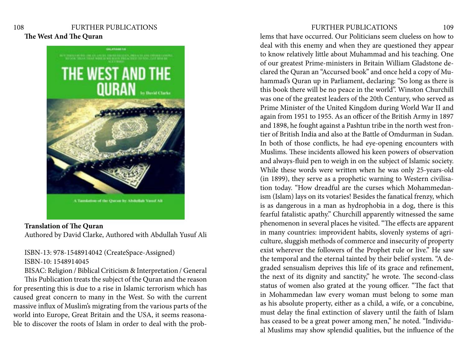## <span id="page-54-0"></span>108 FURTHER PUBLICATIONS FURTHER PUBLICATIONS 109 **The West And The Quran**



### **Translation of The Quran**

Authored by David Clarke, Authored with Abdullah Yusuf Ali

# ISBN-13: 978-1548914042 (CreateSpace-Assigned) ISBN-10: 1548914045

BISAC: Religion / Biblical Criticism & Interpretation / General This Publication treats the subject of the Quran and the reason for presenting this is due to a rise in Islamic terrorism which has caused great concern to many in the West. So with the current massive influx of Muslim's migrating from the various parts of the world into Europe, Great Britain and the USA, it seems reasonable to discover the roots of Islam in order to deal with the prob-

lems that have occurred. Our Politicians seem clueless on how to deal with this enemy and when they are questioned they appear to know relatively little about Muhammad and his teaching. One of our greatest Prime-ministers in Britain William Gladstone declared the Quran an "Accursed book" and once held a copy of Muhammad's Quran up in Parliament, declaring: "So long as there is this book there will be no peace in the world". Winston Churchill was one of the greatest leaders of the 20th Century, who served as Prime Minister of the United Kingdom during World War II and again from 1951 to 1955. As an officer of the British Army in 1897 and 1898, he fought against a Pashtun tribe in the north west frontier of British India and also at the Battle of Omdurman in Sudan. In both of those conflicts, he had eye-opening encounters with Muslims. These incidents allowed his keen powers of observation and always-fluid pen to weigh in on the subject of Islamic society. While these words were written when he was only 25-years-old (in 1899), they serve as a prophetic warning to Western civilisation today. "How dreadful are the curses which Mohammedanism (Islam) lays on its votaries! Besides the fanatical frenzy, which is as dangerous in a man as hydrophobia in a dog, there is this fearful fatalistic apathy." Churchill apparently witnessed the same phenomenon in several places he visited. "The effects are apparent in many countries: improvident habits, slovenly systems of agriculture, sluggish methods of commerce and insecurity of property exist wherever the followers of the Prophet rule or live." He saw the temporal and the eternal tainted by their belief system. "A degraded sensualism deprives this life of its grace and refinement, the next of its dignity and sanctity," he wrote. The second-class status of women also grated at the young officer. "The fact that in Mohammedan law every woman must belong to some man as his absolute property, either as a child, a wife, or a concubine, must delay the final extinction of slavery until the faith of Islam has ceased to be a great power among men," he noted. "Individual Muslims may show splendid qualities, but the influence of the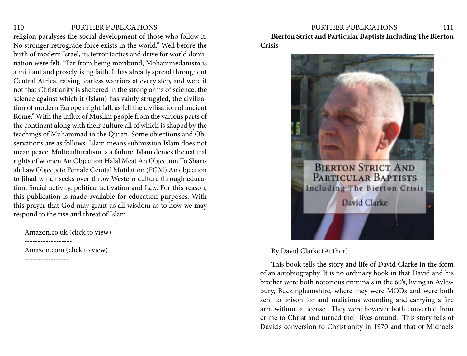religion paralyses the social development of those who follow it. No stronger retrograde force exists in the world." Well before the birth of modern Israel, its terror tactics and drive for world domination were felt. "Far from being moribund, Mohammedanism is a militant and proselytising faith. It has already spread throughout Central Africa, raising fearless warriors at every step, and were it not that Christianity is sheltered in the strong arms of science, the science against which it (Islam) has vainly struggled, the civilisation of modern Europe might fall, as fell the civilisation of ancient Rome." With the influx of Muslim people from the various parts of the continent along with their culture all of which is shaped by the teachings of Muhammad in the Quran. Some objections and Observations are as follows: Islam means submission Islam does not mean peace Multiculturalism is a failure. Islam denies the natural rights of women An Objection Halal Meat An Objection To Shariah Law Objects to Female Genital Mutilation (FGM) An objection to Jihad which seeks over throw Western culture through education, Social activity, political activation and Law. For this reason, this publication is made available for education purposes. With this prayer that God may grant us all wisdom as to how we may respond to the rise and threat of Islam.

Amazon.co.uk (click to view)

------------------

Amazon.com (click to view)

<span id="page-55-0"></span>110 FURTHER PUBLICATIONS FURTHER PUBLICATIONS 111 **Bierton Strict and Particular Baptists Including The Bierton** 

**Crisis**



### By David Clarke (Author)

This book tells the story and life of David Clarke in the form of an autobiography. It is no ordinary book in that David and his brother were both notorious criminals in the 60's, living in Aylesbury, Buckinghamshire, where they were MODs and were both sent to prison for and malicious wounding and carrying a fire arm without a license . They were however both converted from crime to Christ and turned their lives around. This story tells of David's conversion to Christianity in 1970 and that of Michael's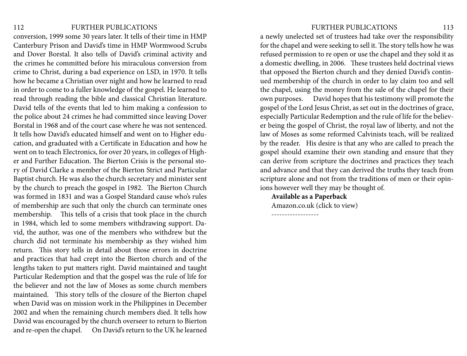112 FURTHER PUBLICATIONS FURTHER PUBLICATIONS 113

conversion, 1999 some 30 years later. It tells of their time in HMP Canterbury Prison and David's time in HMP Wormwood Scrubs and Dover Borstal. It also tells of David's criminal activity and the crimes he committed before his miraculous conversion from crime to Christ, during a bad experience on LSD, in 1970. It tells how he became a Christian over night and how he learned to read in order to come to a fuller knowledge of the gospel. He learned to read through reading the bible and classical Christian literature. David tells of the events that led to him making a confession to the police about 24 crimes he had committed since leaving Dover Borstal in 1968 and of the court case where he was not sentenced. It tells how David's educated himself and went on to Higher education, and graduated with a Certificate in Education and how he went on to teach Electronics, for over 20 years, in colleges of Higher and Further Education. The Bierton Crisis is the personal story of David Clarke a member of the Bierton Strict and Particular Baptist church. He was also the church secretary and minister sent by the church to preach the gospel in 1982. The Bierton Church was formed in 1831 and was a Gospel Standard cause who's rules of membership are such that only the church can terminate ones membership. This tells of a crisis that took place in the church in 1984, which led to some members withdrawing support. David, the author, was one of the members who withdrew but the church did not terminate his membership as they wished him return. This story tells in detail about those errors in doctrine and practices that had crept into the Bierton church and of the lengths taken to put matters right. David maintained and taught Particular Redemption and that the gospel was the rule of life for the believer and not the law of Moses as some church members maintained. This story tells of the closure of the Bierton chapel when David was on mission work in the Philippines in December 2002 and when the remaining church members died. It tells how David was encouraged by the church overseer to return to Bierton and re-open the chapel. On David's return to the UK he learned

a newly unelected set of trustees had take over the responsibility for the chapel and were seeking to sell it. The story tells how he was refused permission to re open or use the chapel and they sold it as a domestic dwelling, in 2006. These trustees held doctrinal views that opposed the Bierton church and they denied David's continued membership of the church in order to lay claim too and sell the chapel, using the money from the sale of the chapel for their own purposes. David hopes that his testimony will promote the gospel of the Lord Jesus Christ, as set out in the doctrines of grace, especially Particular Redemption and the rule of life for the believer being the gospel of Christ, the royal law of liberty, and not the law of Moses as some reformed Calvinists teach, will be realized by the reader. His desire is that any who are called to preach the gospel should examine their own standing and ensure that they can derive from scripture the doctrines and practices they teach and advance and that they can derived the truths they teach from scripture alone and not from the traditions of men or their opinions however well they may be thought of.

**Available as a Paperback** Amazon.co.uk (click to view)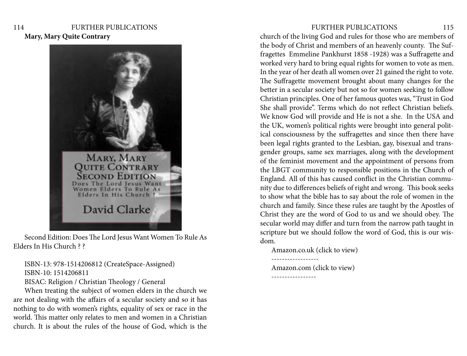## <span id="page-57-0"></span>114 FURTHER PUBLICATIONS FURTHER PUBLICATIONS 115 **Mary, Mary Quite Contrary**



Second Edition: Does The Lord Jesus Want Women To Rule As Elders In His Church ? ?

# ISBN-13: 978-1514206812 (CreateSpace-Assigned) ISBN-10: 1514206811

# BISAC: Religion / Christian Theology / General

When treating the subject of women elders in the church we are not dealing with the affairs of a secular society and so it has nothing to do with women's rights, equality of sex or race in the world. This matter only relates to men and women in a Christian church. It is about the rules of the house of God, which is the

church of the living God and rules for those who are members of the body of Christ and members of an heavenly county. The Suffragettes Emmeline Pankhurst 1858 -1928) was a Suffragette and worked very hard to bring equal rights for women to vote as men. In the year of her death all women over 21 gained the right to vote. The Suffragette movement brought about many changes for the better in a secular society but not so for women seeking to follow Christian principles. One of her famous quotes was, "Trust in God She shall provide". Terms which do not reflect Christian beliefs. We know God will provide and He is not a she. In the USA and the UK, women's political rights were brought into general political consciousness by the suffragettes and since then there have been legal rights granted to the Lesbian, gay, bisexual and transgender groups, same sex marriages, along with the development of the feminist movement and the appointment of persons from the LBGT community to responsible positions in the Church of England. All of this has caused conflict in the Christian community due to differences beliefs of right and wrong. This book seeks to show what the bible has to say about the role of women in the church and family. Since these rules are taught by the Apostles of Christ they are the word of God to us and we should obey. The secular world may differ and turn from the narrow path taught in scripture but we should follow the word of God, this is our wisdom.

Amazon.co.uk (click to view)

Amazon.com (click to view)

------------------

-----------------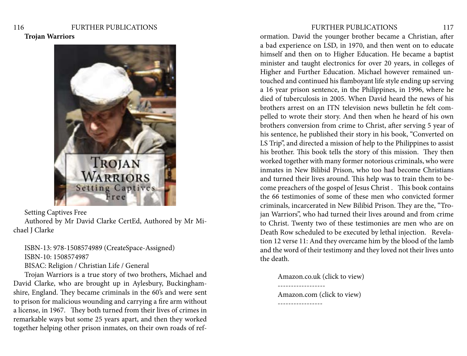<span id="page-58-0"></span>**Trojan Warriors**



Setting Captives Free Authored by Mr David Clarke CertEd, Authored by Mr Michael J Clarke

ISBN-13: 978-1508574989 (CreateSpace-Assigned) ISBN-10: 1508574987 BISAC: Religion / Christian Life / General

Trojan Warriors is a true story of two brothers, Michael and David Clarke, who are brought up in Aylesbury, Buckinghamshire, England. They became criminals in the 60's and were sent to prison for malicious wounding and carrying a fire arm without a license, in 1967. They both turned from their lives of crimes in remarkable ways but some 25 years apart, and then they worked together helping other prison inmates, on their own roads of ref-

ormation. David the younger brother became a Christian, after a bad experience on LSD, in 1970, and then went on to educate himself and then on to Higher Education. He became a baptist minister and taught electronics for over 20 years, in colleges of Higher and Further Education. Michael however remained untouched and continued his flamboyant life style ending up serving a 16 year prison sentence, in the Philippines, in 1996, where he died of tuberculosis in 2005. When David heard the news of his brothers arrest on an ITN television news bulletin he felt compelled to wrote their story. And then when he heard of his own brothers conversion from crime to Christ, after serving 5 year of his sentence, he published their story in his book, "Converted on LS Trip", and directed a mission of help to the Philippines to assist his brother. This book tells the story of this mission. They then worked together with many former notorious criminals, who were inmates in New Bilibid Prison, who too had become Christians and turned their lives around. This help was to train them to become preachers of the gospel of Jesus Christ . This book contains the 66 testimonies of some of these men who convicted former criminals, incarcerated in New Bilibid Prison. They are the, "Trojan Warriors", who had turned their lives around and from crime to Christ. Twenty two of these testimonies are men who are on Death Row scheduled to be executed by lethal injection. Revelation 12 verse 11: And they overcame him by the blood of the lamb and the word of their testimony and they loved not their lives unto the death.

Amazon.co.uk (click to view)

Amazon.com (click to view)

------------------

-----------------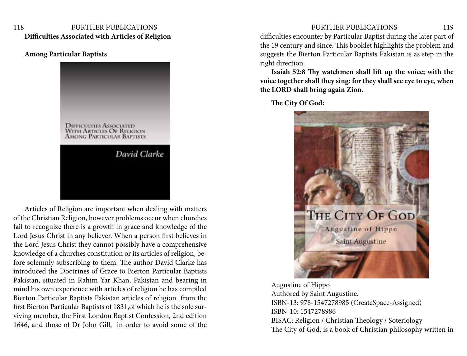<span id="page-59-0"></span>118 FURTHER PUBLICATIONS FURTHER PUBLICATIONS 119 **Difficulties Associated with Articles of Religion**

### **Among Particular Baptists**



Articles of Religion are important when dealing with matters of the Christian Religion, however problems occur when churches fail to recognize there is a growth in grace and knowledge of the Lord Jesus Christ in any believer. When a person first believes in the Lord Jesus Christ they cannot possibly have a comprehensive knowledge of a churches constitution or its articles of religion, before solemnly subscribing to them. The author David Clarke has introduced the Doctrines of Grace to Bierton Particular Baptists Pakistan, situated in Rahim Yar Khan, Pakistan and bearing in mind his own experience with articles of religion he has compiled Bierton Particular Baptists Pakistan articles of religion from the first Bierton Particular Baptists of 1831,of which he is the sole surviving member, the First London Baptist Confession, 2nd edition 1646, and those of Dr John Gill, in order to avoid some of the

difficulties encounter by Particular Baptist during the later part of the 19 century and since. This booklet highlights the problem and suggests the Bierton Particular Baptists Pakistan is as step in the right direction.

**Isaiah 52:8 Thy watchmen shall lift up the voice; with the voice together shall they sing: for they shall see eye to eye, when the LORD shall bring again Zion.**

**The City Of God:** 



Augustine of Hippo Authored by Saint Augustine. ISBN-13: 978-1547278985 (CreateSpace-Assigned) ISBN-10: 1547278986 BISAC: Religion / Christian Theology / Soteriology The City of God, is a book of Christian philosophy written in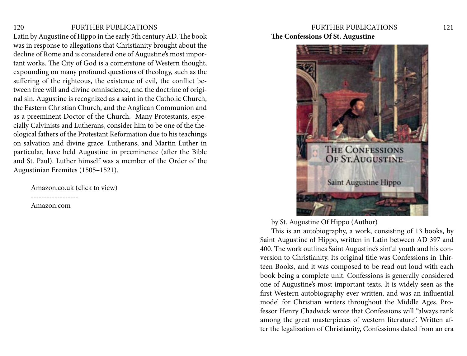Latin by Augustine of Hippo in the early 5th century AD. The book was in response to allegations that Christianity brought about the decline of Rome and is considered one of Augustine's most important works. The City of God is a cornerstone of Western thought, expounding on many profound questions of theology, such as the suffering of the righteous, the existence of evil, the conflict between free will and divine omniscience, and the doctrine of original sin. Augustine is recognized as a saint in the Catholic Church, the Eastern Christian Church, and the Anglican Communion and as a preeminent Doctor of the Church. Many Protestants, especially Calvinists and Lutherans, consider him to be one of the theological fathers of the Protestant Reformation due to his teachings on salvation and divine grace. Lutherans, and Martin Luther in particular, have held Augustine in preeminence (after the Bible and St. Paul). Luther himself was a member of the Order of the Augustinian Eremites (1505–1521).

Amazon.co.uk (click to view)

------------------

Amazon.com

# <span id="page-60-0"></span>120 FURTHER PUBLICATIONS FURTHER PUBLICATIONS 121 **The Confessions Of St. Augustine**



by St. Augustine Of Hippo (Author)

This is an autobiography, a work, consisting of 13 books, by Saint Augustine of Hippo, written in Latin between AD 397 and 400. The work outlines Saint Augustine's sinful youth and his conversion to Christianity. Its original title was Confessions in Thirteen Books, and it was composed to be read out loud with each book being a complete unit. Confessions is generally considered one of Augustine's most important texts. It is widely seen as the first Western autobiography ever written, and was an influential model for Christian writers throughout the Middle Ages. Professor Henry Chadwick wrote that Confessions will "always rank among the great masterpieces of western literature". Written after the legalization of Christianity, Confessions dated from an era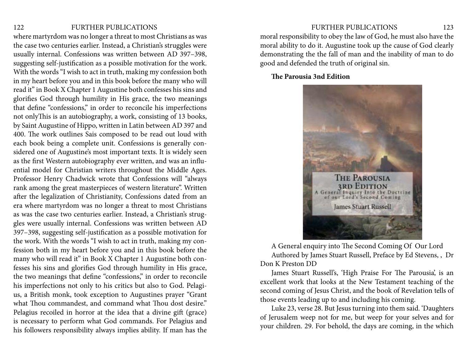# 122 FURTHER PUBLICATIONS FURTHER PUBLICATIONS 123

where martyrdom was no longer a threat to most Christians as was the case two centuries earlier. Instead, a Christian's struggles were usually internal. Confessions was written between AD 397–398, suggesting self-justification as a possible motivation for the work. With the words "I wish to act in truth, making my confession both in my heart before you and in this book before the many who will read it" in Book X Chapter 1 Augustine both confesses his sins and glorifies God through humility in His grace, the two meanings that define "confessions," in order to reconcile his imperfections not onlyThis is an autobiography, a work, consisting of 13 books, by Saint Augustine of Hippo, written in Latin between AD 397 and 400. The work outlines Sais composed to be read out loud with each book being a complete unit. Confessions is generally considered one of Augustine's most important texts. It is widely seen as the first Western autobiography ever written, and was an influential model for Christian writers throughout the Middle Ages. Professor Henry Chadwick wrote that Confessions will "always rank among the great masterpieces of western literature". Written after the legalization of Christianity, Confessions dated from an era where martyrdom was no longer a threat to most Christians as was the case two centuries earlier. Instead, a Christian's struggles were usually internal. Confessions was written between AD 397–398, suggesting self-justification as a possible motivation for the work. With the words "I wish to act in truth, making my confession both in my heart before you and in this book before the many who will read it" in Book X Chapter 1 Augustine both confesses his sins and glorifies God through humility in His grace, the two meanings that define "confessions," in order to reconcile his imperfections not only to his critics but also to God. Pelagius, a British monk, took exception to Augustines prayer "Grant what Thou commandest, and command what Thou dost desire." Pelagius recoiled in horror at the idea that a divine gift (grace) is necessary to perform what God commands. For Pelagius and his followers responsibility always implies ability. If man has the

moral responsibility to obey the law of God, he must also have the moral ability to do it. Augustine took up the cause of God clearly demonstrating the the fall of man and the inability of man to do good and defended the truth of original sin.

**The Parousia 3nd Edition**



A General enquiry into The Second Coming Of Our Lord Authored by James Stuart Russell, Preface by Ed Stevens, , Dr Don K Preston DD

James Stuart Russell's, 'High Praise For The Parousia', is an excellent work that looks at the New Testament teaching of the second coming of Jesus Christ, and the book of Revelation tells of those events leading up to and including his coming.

Luke 23, verse 28. But Jesus turning into them said. 'Daughters of Jerusalem weep not for me, but weep for your selves and for your children. 29. For behold, the days are coming, in the which